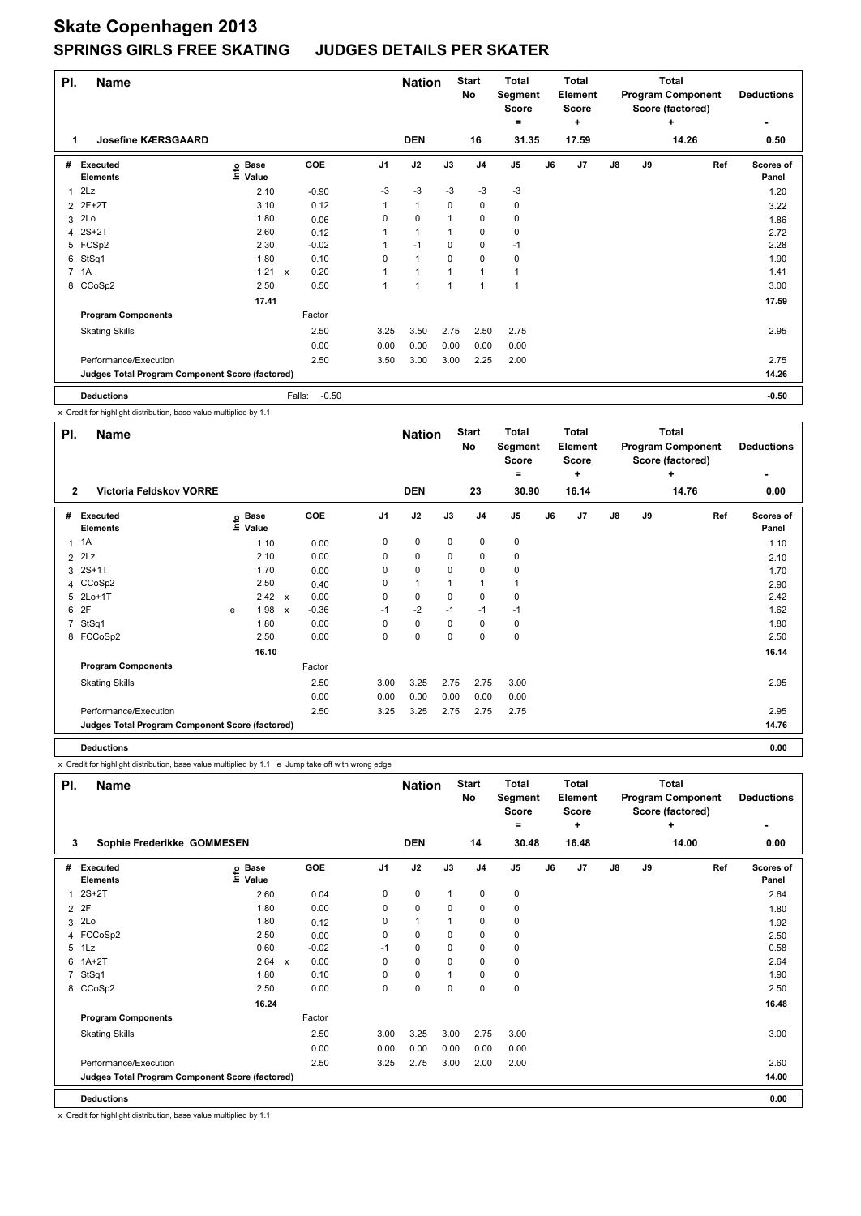| PI. | <b>Name</b>                                     |                            |                      |                | <b>Nation</b> |          | <b>Start</b><br>No | <b>Total</b><br>Segment<br><b>Score</b><br>۰ |    | <b>Total</b><br>Element<br><b>Score</b><br>٠ |               |    | Total<br><b>Program Component</b><br>Score (factored)<br>٠ | <b>Deductions</b>  |
|-----|-------------------------------------------------|----------------------------|----------------------|----------------|---------------|----------|--------------------|----------------------------------------------|----|----------------------------------------------|---------------|----|------------------------------------------------------------|--------------------|
| 1   | <b>Josefine KÆRSGAARD</b>                       |                            |                      |                | <b>DEN</b>    |          | 16                 | 31.35                                        |    | 17.59                                        |               |    | 14.26                                                      | 0.50               |
| #   | Executed<br><b>Elements</b>                     | e Base<br>⊆ Value<br>Value | GOE                  | J <sub>1</sub> | J2            | J3       | J <sub>4</sub>     | J <sub>5</sub>                               | J6 | J <sub>7</sub>                               | $\mathsf{J}8$ | J9 | Ref                                                        | Scores of<br>Panel |
| 1   | 2Lz                                             | 2.10                       | $-0.90$              | $-3$           | $-3$          | $-3$     | $-3$               | $-3$                                         |    |                                              |               |    |                                                            | 1.20               |
| 2   | $2F+2T$                                         | 3.10                       | 0.12                 | 1              | $\mathbf{1}$  | 0        | 0                  | 0                                            |    |                                              |               |    |                                                            | 3.22               |
| 3   | 2Lo                                             | 1.80                       | 0.06                 | 0              | $\mathbf 0$   |          | $\mathbf 0$        | 0                                            |    |                                              |               |    |                                                            | 1.86               |
| 4   | $2S+2T$                                         | 2.60                       | 0.12                 |                | 1             |          | $\mathbf 0$        | 0                                            |    |                                              |               |    |                                                            | 2.72               |
|     | 5 FCSp2                                         | 2.30                       | $-0.02$              |                | $-1$          | 0        | $\mathbf 0$        | $-1$                                         |    |                                              |               |    |                                                            | 2.28               |
| 6   | StSq1                                           | 1.80                       | 0.10                 | $\Omega$       | 1             | $\Omega$ | $\mathbf 0$        | 0                                            |    |                                              |               |    |                                                            | 1.90               |
|     | 7 1A                                            | 1.21                       | 0.20<br>$\mathbf{x}$ |                | 1             |          |                    |                                              |    |                                              |               |    |                                                            | 1.41               |
|     | 8 CCoSp2                                        | 2.50                       | 0.50                 |                |               |          |                    |                                              |    |                                              |               |    |                                                            | 3.00               |
|     |                                                 | 17.41                      |                      |                |               |          |                    |                                              |    |                                              |               |    |                                                            | 17.59              |
|     | <b>Program Components</b>                       |                            | Factor               |                |               |          |                    |                                              |    |                                              |               |    |                                                            |                    |
|     | <b>Skating Skills</b>                           |                            | 2.50                 | 3.25           | 3.50          | 2.75     | 2.50               | 2.75                                         |    |                                              |               |    |                                                            | 2.95               |
|     |                                                 |                            | 0.00                 | 0.00           | 0.00          | 0.00     | 0.00               | 0.00                                         |    |                                              |               |    |                                                            |                    |
|     | Performance/Execution                           |                            | 2.50                 | 3.50           | 3.00          | 3.00     | 2.25               | 2.00                                         |    |                                              |               |    |                                                            | 2.75               |
|     | Judges Total Program Component Score (factored) |                            |                      |                |               |          |                    |                                              |    |                                              |               |    |                                                            | 14.26              |
|     | <b>Deductions</b>                               |                            | $-0.50$<br>Falls:    |                |               |          |                    |                                              |    |                                              |               |    |                                                            | $-0.50$            |

x Credit for highlight distribution, base value multiplied by 1.1

| PI.<br><b>Name</b><br><b>Victoria Feldskov VORRE</b><br>$\mathbf{2}$ |                                                 |   |                            |                           |         | <b>Nation</b>  |              | <b>Start</b><br>No | <b>Total</b><br>Segment<br>Score<br>$\equiv$ |                | <b>Total</b><br>Element<br><b>Score</b><br>٠ |       |    | Total<br><b>Program Component</b><br>Score (factored)<br>٠ | <b>Deductions</b><br>٠ |                    |
|----------------------------------------------------------------------|-------------------------------------------------|---|----------------------------|---------------------------|---------|----------------|--------------|--------------------|----------------------------------------------|----------------|----------------------------------------------|-------|----|------------------------------------------------------------|------------------------|--------------------|
|                                                                      |                                                 |   |                            |                           |         |                | <b>DEN</b>   |                    | 23                                           | 30.90          |                                              | 16.14 |    |                                                            | 14.76                  | 0.00               |
| #                                                                    | <b>Executed</b><br><b>Elements</b>              |   | e Base<br>E Value<br>Value |                           | GOE     | J <sub>1</sub> | J2           | J3                 | J <sub>4</sub>                               | J <sub>5</sub> | J6                                           | J7    | J8 | J9                                                         | Ref                    | Scores of<br>Panel |
|                                                                      | $1 \t1A$                                        |   | 1.10                       |                           | 0.00    | 0              | 0            | 0                  | 0                                            | 0              |                                              |       |    |                                                            |                        | 1.10               |
|                                                                      | $2$ $2Lz$                                       |   | 2.10                       |                           | 0.00    | 0              | 0            | 0                  | 0                                            | 0              |                                              |       |    |                                                            |                        | 2.10               |
|                                                                      | 3 2S+1T                                         |   | 1.70                       |                           | 0.00    | 0              | 0            | 0                  | 0                                            | 0              |                                              |       |    |                                                            |                        | 1.70               |
|                                                                      | 4 CCoSp2                                        |   | 2.50                       |                           | 0.40    | 0              | $\mathbf{1}$ |                    | 1                                            | 1              |                                              |       |    |                                                            |                        | 2.90               |
|                                                                      | 5 2Lo+1T                                        |   | 2.42 x                     |                           | 0.00    | 0              | 0            | 0                  | 0                                            | 0              |                                              |       |    |                                                            |                        | 2.42               |
|                                                                      | 6 2F                                            | e | 1.98                       | $\boldsymbol{\mathsf{x}}$ | $-0.36$ | $-1$           | $-2$         | $-1$               | $-1$                                         | $-1$           |                                              |       |    |                                                            |                        | 1.62               |
|                                                                      | 7 StSq1                                         |   | 1.80                       |                           | 0.00    | 0              | 0            | 0                  | 0                                            | 0              |                                              |       |    |                                                            |                        | 1.80               |
|                                                                      | 8 FCCoSp2                                       |   | 2.50                       |                           | 0.00    | 0              | 0            | $\Omega$           | 0                                            | 0              |                                              |       |    |                                                            |                        | 2.50               |
|                                                                      |                                                 |   | 16.10                      |                           |         |                |              |                    |                                              |                |                                              |       |    |                                                            |                        | 16.14              |
|                                                                      | <b>Program Components</b>                       |   |                            |                           | Factor  |                |              |                    |                                              |                |                                              |       |    |                                                            |                        |                    |
|                                                                      | <b>Skating Skills</b>                           |   |                            |                           | 2.50    | 3.00           | 3.25         | 2.75               | 2.75                                         | 3.00           |                                              |       |    |                                                            |                        | 2.95               |
|                                                                      |                                                 |   |                            |                           | 0.00    | 0.00           | 0.00         | 0.00               | 0.00                                         | 0.00           |                                              |       |    |                                                            |                        |                    |
|                                                                      | Performance/Execution                           |   |                            |                           | 2.50    | 3.25           | 3.25         | 2.75               | 2.75                                         | 2.75           |                                              |       |    |                                                            |                        | 2.95               |
|                                                                      | Judges Total Program Component Score (factored) |   |                            |                           |         |                |              |                    |                                              |                |                                              |       |    |                                                            |                        | 14.76              |
|                                                                      | <b>Deductions</b>                               |   |                            |                           |         |                |              |                    |                                              |                |                                              |       |    |                                                            |                        | 0.00               |

x Credit for highlight distribution, base value multiplied by 1.1 e Jump take off with wrong edge

| PI.            | <b>Name</b>                                     |                            |                           |         |                | <b>Nation</b> |              | <b>Start</b><br>No | <b>Total</b><br>Segment<br>Score<br>= |    | <b>Total</b><br>Element<br><b>Score</b><br>٠ |               |    | <b>Total</b><br><b>Program Component</b><br>Score (factored)<br>٠ | <b>Deductions</b>  |
|----------------|-------------------------------------------------|----------------------------|---------------------------|---------|----------------|---------------|--------------|--------------------|---------------------------------------|----|----------------------------------------------|---------------|----|-------------------------------------------------------------------|--------------------|
| 3              | Sophie Frederikke GOMMESEN                      |                            |                           |         |                | <b>DEN</b>    |              | 14                 | 30.48                                 |    | 16.48                                        |               |    | 14.00                                                             | 0.00               |
| #              | <b>Executed</b><br><b>Elements</b>              | <b>Base</b><br>١n<br>Value |                           | GOE     | J <sub>1</sub> | J2            | J3           | J <sub>4</sub>     | J <sub>5</sub>                        | J6 | J <sub>7</sub>                               | $\mathsf{J}8$ | J9 | Ref                                                               | Scores of<br>Panel |
|                | $2S+2T$                                         | 2.60                       |                           | 0.04    | 0              | $\pmb{0}$     | $\mathbf{1}$ | $\mathbf 0$        | 0                                     |    |                                              |               |    |                                                                   | 2.64               |
| $\overline{2}$ | 2F                                              | 1.80                       |                           | 0.00    | 0              | $\mathbf 0$   | 0            | 0                  | 0                                     |    |                                              |               |    |                                                                   | 1.80               |
| 3              | 2Lo                                             | 1.80                       |                           | 0.12    | $\Omega$       | $\mathbf{1}$  |              | $\mathbf 0$        | 0                                     |    |                                              |               |    |                                                                   | 1.92               |
|                | 4 FCCoSp2                                       | 2.50                       |                           | 0.00    | 0              | $\mathbf 0$   | 0            | $\mathbf 0$        | 0                                     |    |                                              |               |    |                                                                   | 2.50               |
| 5              | 1Lz                                             | 0.60                       |                           | $-0.02$ | $-1$           | $\mathbf 0$   | 0            | $\mathbf 0$        | 0                                     |    |                                              |               |    |                                                                   | 0.58               |
| 6              | $1A+2T$                                         | 2.64                       | $\boldsymbol{\mathsf{x}}$ | 0.00    | 0              | $\mathbf 0$   | $\Omega$     | $\mathbf 0$        | 0                                     |    |                                              |               |    |                                                                   | 2.64               |
| 7              | StSq1                                           | 1.80                       |                           | 0.10    | 0              | $\mathbf 0$   |              | 0                  | $\pmb{0}$                             |    |                                              |               |    |                                                                   | 1.90               |
|                | 8 CCoSp2                                        | 2.50                       |                           | 0.00    | 0              | $\mathbf 0$   | 0            | $\mathbf 0$        | $\mathbf 0$                           |    |                                              |               |    |                                                                   | 2.50               |
|                |                                                 | 16.24                      |                           |         |                |               |              |                    |                                       |    |                                              |               |    |                                                                   | 16.48              |
|                | <b>Program Components</b>                       |                            |                           | Factor  |                |               |              |                    |                                       |    |                                              |               |    |                                                                   |                    |
|                | <b>Skating Skills</b>                           |                            |                           | 2.50    | 3.00           | 3.25          | 3.00         | 2.75               | 3.00                                  |    |                                              |               |    |                                                                   | 3.00               |
|                |                                                 |                            |                           | 0.00    | 0.00           | 0.00          | 0.00         | 0.00               | 0.00                                  |    |                                              |               |    |                                                                   |                    |
|                | Performance/Execution                           |                            |                           | 2.50    | 3.25           | 2.75          | 3.00         | 2.00               | 2.00                                  |    |                                              |               |    |                                                                   | 2.60               |
|                | Judges Total Program Component Score (factored) |                            |                           |         |                |               |              |                    |                                       |    |                                              |               |    |                                                                   | 14.00              |
|                | <b>Deductions</b>                               |                            |                           |         |                |               |              |                    |                                       |    |                                              |               |    |                                                                   | 0.00               |

x Credit for highlight distribution, base value multiplied by 1.1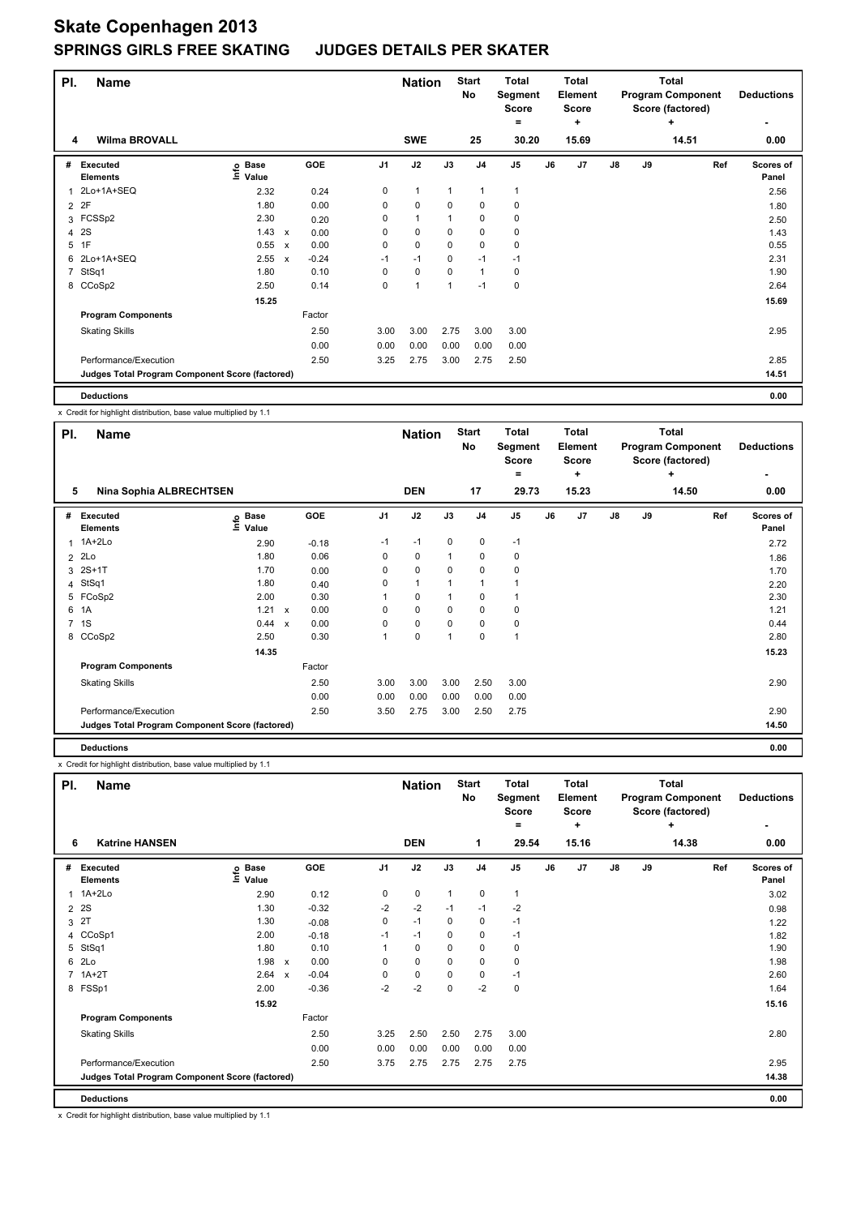| PI.            | <b>Name</b>                                     |                                  |                           |         |                | <b>Nation</b> |              | <b>Start</b><br>No | <b>Total</b><br>Segment<br><b>Score</b><br>= |    | <b>Total</b><br>Element<br><b>Score</b><br>٠ | <b>Total</b><br><b>Program Component</b><br>Score (factored)<br>٠<br>14.51 |    |     | <b>Deductions</b>         |
|----------------|-------------------------------------------------|----------------------------------|---------------------------|---------|----------------|---------------|--------------|--------------------|----------------------------------------------|----|----------------------------------------------|----------------------------------------------------------------------------|----|-----|---------------------------|
| 4              | <b>Wilma BROVALL</b>                            |                                  |                           |         |                | <b>SWE</b>    |              | 25                 | 30.20                                        |    | 15.69                                        |                                                                            |    |     | 0.00                      |
| #              | Executed<br><b>Elements</b>                     | <b>Base</b><br>$ln f$ o<br>Value |                           | GOE     | J <sub>1</sub> | J2            | J3           | J <sub>4</sub>     | J <sub>5</sub>                               | J6 | J <sub>7</sub>                               | $\mathsf{J}8$                                                              | J9 | Ref | <b>Scores of</b><br>Panel |
| 1              | 2Lo+1A+SEQ                                      | 2.32                             |                           | 0.24    | 0              | $\mathbf{1}$  | $\mathbf{1}$ | $\overline{1}$     | 1                                            |    |                                              |                                                                            |    |     | 2.56                      |
| $\overline{2}$ | 2F                                              | 1.80                             |                           | 0.00    | 0              | $\mathbf 0$   | 0            | 0                  | 0                                            |    |                                              |                                                                            |    |     | 1.80                      |
|                | 3 FCSSp2                                        | 2.30                             |                           | 0.20    | 0              | $\mathbf{1}$  |              | 0                  | 0                                            |    |                                              |                                                                            |    |     | 2.50                      |
| 4              | 2S                                              | 1.43                             | X                         | 0.00    | 0              | $\mathbf 0$   | 0            | $\mathbf 0$        | 0                                            |    |                                              |                                                                            |    |     | 1.43                      |
| 5              | 1F                                              | 0.55                             | $\boldsymbol{\mathsf{x}}$ | 0.00    | 0              | $\pmb{0}$     | 0            | $\mathbf 0$        | 0                                            |    |                                              |                                                                            |    |     | 0.55                      |
| 6              | 2Lo+1A+SEQ                                      | 2.55                             | $\boldsymbol{\mathsf{x}}$ | $-0.24$ | $-1$           | $-1$          | $\mathbf 0$  | $-1$               | $-1$                                         |    |                                              |                                                                            |    |     | 2.31                      |
| $\overline{7}$ | StSq1                                           | 1.80                             |                           | 0.10    | $\Omega$       | $\mathbf 0$   | 0            | $\mathbf{1}$       | 0                                            |    |                                              |                                                                            |    |     | 1.90                      |
|                | 8 CCoSp2                                        | 2.50                             |                           | 0.14    | 0              | 1             |              | $-1$               | $\mathbf 0$                                  |    |                                              |                                                                            |    |     | 2.64                      |
|                |                                                 | 15.25                            |                           |         |                |               |              |                    |                                              |    |                                              |                                                                            |    |     | 15.69                     |
|                | <b>Program Components</b>                       |                                  |                           | Factor  |                |               |              |                    |                                              |    |                                              |                                                                            |    |     |                           |
|                | <b>Skating Skills</b>                           |                                  |                           | 2.50    | 3.00           | 3.00          | 2.75         | 3.00               | 3.00                                         |    |                                              |                                                                            |    |     | 2.95                      |
|                |                                                 |                                  |                           | 0.00    | 0.00           | 0.00          | 0.00         | 0.00               | 0.00                                         |    |                                              |                                                                            |    |     |                           |
|                | Performance/Execution                           |                                  |                           | 2.50    | 3.25           | 2.75          | 3.00         | 2.75               | 2.50                                         |    |                                              |                                                                            |    |     | 2.85                      |
|                | Judges Total Program Component Score (factored) |                                  |                           |         |                |               |              |                    |                                              |    |                                              |                                                                            |    |     | 14.51                     |
|                | <b>Deductions</b>                               |                                  |                           |         |                |               |              |                    |                                              |    |                                              |                                                                            |    |     | 0.00                      |

x Credit for highlight distribution, base value multiplied by 1.1

| PI.         | <b>Name</b>                                     |                                                  |                      |                | <b>Nation</b> |      | <b>Start</b><br>No | <b>Total</b><br>Segment<br><b>Score</b><br>$=$ |    | <b>Total</b><br>Element<br><b>Score</b><br>÷ |               |    | <b>Total</b><br><b>Program Component</b><br>Score (factored)<br>٠ | <b>Deductions</b>  |
|-------------|-------------------------------------------------|--------------------------------------------------|----------------------|----------------|---------------|------|--------------------|------------------------------------------------|----|----------------------------------------------|---------------|----|-------------------------------------------------------------------|--------------------|
|             | 5<br>Nina Sophia ALBRECHTSEN                    |                                                  |                      |                | <b>DEN</b>    |      | 17                 | 29.73                                          |    | 15.23                                        |               |    | 14.50                                                             | 0.00               |
|             | # Executed<br><b>Elements</b>                   | <b>Base</b><br>$\mathop{\mathsf{Info}}$<br>Value | <b>GOE</b>           | J <sub>1</sub> | J2            | J3   | J <sub>4</sub>     | J5                                             | J6 | J7                                           | $\mathsf{J}8$ | J9 | Ref                                                               | Scores of<br>Panel |
|             | 1 1A+2Lo                                        | 2.90                                             | $-0.18$              | $-1$           | $-1$          | 0    | $\mathbf 0$        | $-1$                                           |    |                                              |               |    |                                                                   | 2.72               |
|             | 2 2Lo                                           | 1.80                                             | 0.06                 | 0              | 0             | 1    | 0                  | 0                                              |    |                                              |               |    |                                                                   | 1.86               |
|             | $3.2S+1T$                                       | 1.70                                             | 0.00                 | 0              | 0             | 0    | 0                  | 0                                              |    |                                              |               |    |                                                                   | 1.70               |
|             | 4 StSq1                                         | 1.80                                             | 0.40                 | 0              | $\mathbf{1}$  | 1    | $\mathbf{1}$       | 1                                              |    |                                              |               |    |                                                                   | 2.20               |
|             | 5 FCoSp2                                        | 2.00                                             | 0.30                 |                | 0             | 1    | 0                  | 1                                              |    |                                              |               |    |                                                                   | 2.30               |
|             | 6 1A                                            | 1.21                                             | 0.00<br>$\mathsf{x}$ | 0              | 0             | 0    | $\mathbf 0$        | 0                                              |    |                                              |               |    |                                                                   | 1.21               |
| $7^{\circ}$ | 1S                                              | 0.44 x                                           | 0.00                 | 0              | 0             | 0    | 0                  | 0                                              |    |                                              |               |    |                                                                   | 0.44               |
|             | 8 CCoSp2                                        | 2.50                                             | 0.30                 | 1              | 0             | 1    | 0                  | 1                                              |    |                                              |               |    |                                                                   | 2.80               |
|             |                                                 | 14.35                                            |                      |                |               |      |                    |                                                |    |                                              |               |    |                                                                   | 15.23              |
|             | <b>Program Components</b>                       |                                                  | Factor               |                |               |      |                    |                                                |    |                                              |               |    |                                                                   |                    |
|             | <b>Skating Skills</b>                           |                                                  | 2.50                 | 3.00           | 3.00          | 3.00 | 2.50               | 3.00                                           |    |                                              |               |    |                                                                   | 2.90               |
|             |                                                 |                                                  | 0.00                 | 0.00           | 0.00          | 0.00 | 0.00               | 0.00                                           |    |                                              |               |    |                                                                   |                    |
|             | Performance/Execution                           |                                                  | 2.50                 | 3.50           | 2.75          | 3.00 | 2.50               | 2.75                                           |    |                                              |               |    |                                                                   | 2.90               |
|             | Judges Total Program Component Score (factored) |                                                  |                      |                |               |      |                    |                                                |    |                                              |               |    |                                                                   | 14.50              |
|             | <b>Deductions</b>                               |                                                  |                      |                |               |      |                    |                                                |    |                                              |               |    |                                                                   | 0.00               |

x Credit for highlight distribution, base value multiplied by 1.1

| PI.            | <b>Name</b>                                     |                           |                           |         |                | <b>Nation</b> |              | <b>Start</b><br><b>No</b> | <b>Total</b><br>Segment<br><b>Score</b><br>= |    | <b>Total</b><br>Element<br><b>Score</b><br>÷ |               |    | <b>Total</b><br><b>Program Component</b><br>Score (factored)<br>٠ | <b>Deductions</b>  |
|----------------|-------------------------------------------------|---------------------------|---------------------------|---------|----------------|---------------|--------------|---------------------------|----------------------------------------------|----|----------------------------------------------|---------------|----|-------------------------------------------------------------------|--------------------|
| 6              | <b>Katrine HANSEN</b>                           |                           |                           |         |                | <b>DEN</b>    |              | 1                         | 29.54                                        |    | 15.16                                        |               |    | 14.38                                                             | 0.00               |
| #              | Executed<br><b>Elements</b>                     | <b>Base</b><br>۴<br>Value |                           | GOE     | J <sub>1</sub> | J2            | J3           | J <sub>4</sub>            | J <sub>5</sub>                               | J6 | J <sub>7</sub>                               | $\mathsf{J}8$ | J9 | Ref                                                               | Scores of<br>Panel |
| 1              | 1A+2Lo                                          | 2.90                      |                           | 0.12    | 0              | $\mathbf 0$   | $\mathbf{1}$ | $\mathbf 0$               | $\mathbf{1}$                                 |    |                                              |               |    |                                                                   | 3.02               |
| 2              | 2S                                              | 1.30                      |                           | $-0.32$ | $-2$           | $-2$          | $-1$         | $-1$                      | $-2$                                         |    |                                              |               |    |                                                                   | 0.98               |
| 3              | 2T                                              | 1.30                      |                           | $-0.08$ | 0              | $-1$          | 0            | $\mathbf 0$               | $-1$                                         |    |                                              |               |    |                                                                   | 1.22               |
| 4              | CCoSp1                                          | 2.00                      |                           | $-0.18$ | $-1$           | $-1$          | $\mathbf 0$  | $\mathbf 0$               | $-1$                                         |    |                                              |               |    |                                                                   | 1.82               |
| 5              | StSq1                                           | 1.80                      |                           | 0.10    | 1              | $\mathbf 0$   | 0            | $\mathbf 0$               | 0                                            |    |                                              |               |    |                                                                   | 1.90               |
| 6              | 2Lo                                             | 1.98                      | $\boldsymbol{\mathsf{x}}$ | 0.00    | 0              | $\mathbf 0$   | 0            | $\mathbf 0$               | 0                                            |    |                                              |               |    |                                                                   | 1.98               |
| $\overline{7}$ | $1A+2T$                                         | 2.64                      | $\boldsymbol{\mathsf{x}}$ | $-0.04$ | 0              | $\mathbf 0$   | $\mathbf 0$  | $\mathbf 0$               | $-1$                                         |    |                                              |               |    |                                                                   | 2.60               |
|                | 8 FSSp1                                         | 2.00                      |                           | $-0.36$ | $-2$           | $-2$          | 0            | $-2$                      | $\pmb{0}$                                    |    |                                              |               |    |                                                                   | 1.64               |
|                |                                                 | 15.92                     |                           |         |                |               |              |                           |                                              |    |                                              |               |    |                                                                   | 15.16              |
|                | <b>Program Components</b>                       |                           |                           | Factor  |                |               |              |                           |                                              |    |                                              |               |    |                                                                   |                    |
|                | <b>Skating Skills</b>                           |                           |                           | 2.50    | 3.25           | 2.50          | 2.50         | 2.75                      | 3.00                                         |    |                                              |               |    |                                                                   | 2.80               |
|                |                                                 |                           |                           | 0.00    | 0.00           | 0.00          | 0.00         | 0.00                      | 0.00                                         |    |                                              |               |    |                                                                   |                    |
|                | Performance/Execution                           |                           |                           | 2.50    | 3.75           | 2.75          | 2.75         | 2.75                      | 2.75                                         |    |                                              |               |    |                                                                   | 2.95               |
|                | Judges Total Program Component Score (factored) |                           |                           |         |                |               |              |                           |                                              |    |                                              |               |    |                                                                   | 14.38              |
|                | <b>Deductions</b>                               |                           |                           |         |                |               |              |                           |                                              |    |                                              |               |    |                                                                   | 0.00               |

x Credit for highlight distribution, base value multiplied by 1.1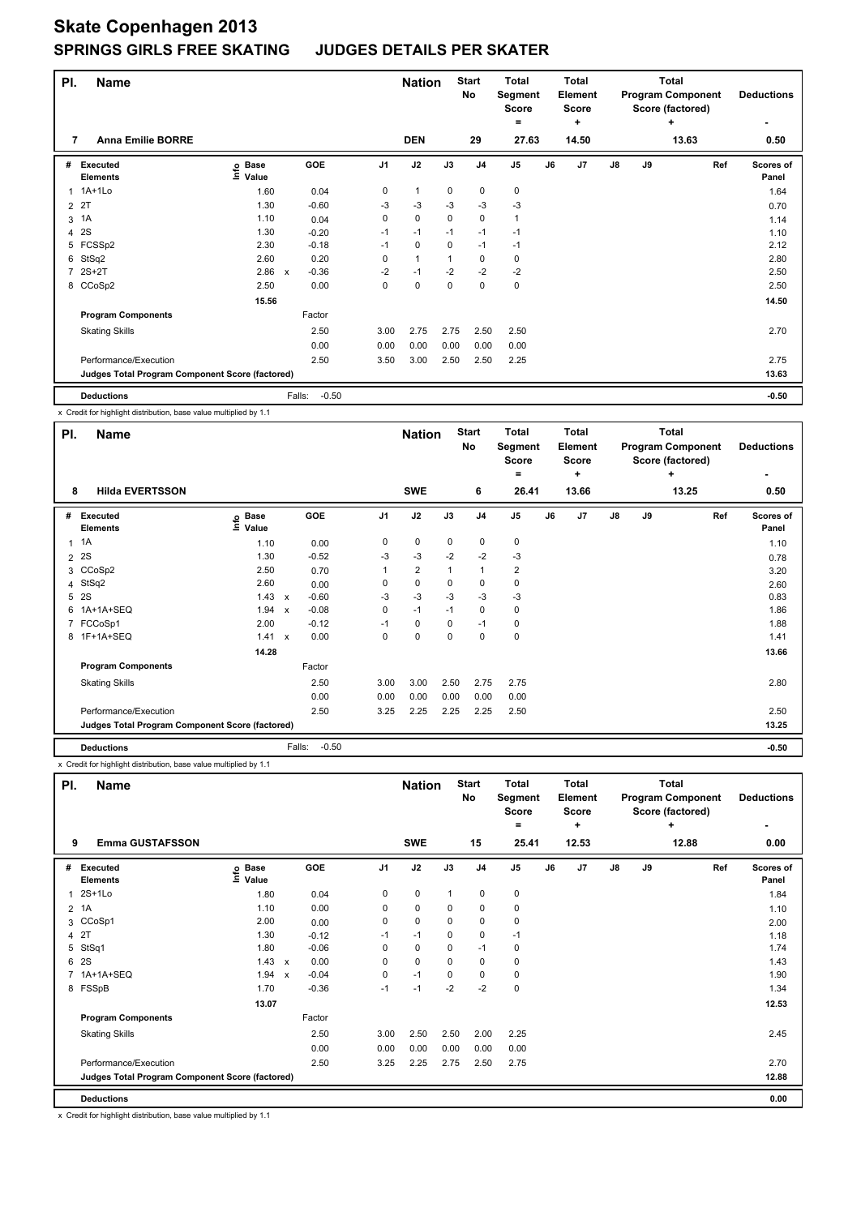| PI.            | <b>Name</b>                                     |                            |        |         |                | <b>Nation</b>  |             | <b>Start</b><br>No | <b>Total</b><br>Segment<br><b>Score</b><br>= |    | <b>Total</b><br>Element<br><b>Score</b><br>÷ | <b>Total</b><br><b>Program Component</b><br>Score (factored)<br>÷<br>13.63 |    |     | <b>Deductions</b>  |
|----------------|-------------------------------------------------|----------------------------|--------|---------|----------------|----------------|-------------|--------------------|----------------------------------------------|----|----------------------------------------------|----------------------------------------------------------------------------|----|-----|--------------------|
| 7              | <b>Anna Emilie BORRE</b>                        |                            |        |         |                | <b>DEN</b>     |             | 29                 | 27.63                                        |    | 14.50                                        |                                                                            |    |     | 0.50               |
| #              | Executed<br><b>Elements</b>                     | <b>Base</b><br>۴ů<br>Value |        | GOE     | J <sub>1</sub> | J2             | J3          | J <sub>4</sub>     | J <sub>5</sub>                               | J6 | J <sub>7</sub>                               | $\mathsf{J}8$                                                              | J9 | Ref | Scores of<br>Panel |
|                | 1 1A+1Lo                                        | 1.60                       |        | 0.04    | 0              | $\overline{1}$ | 0           | $\pmb{0}$          | 0                                            |    |                                              |                                                                            |    |     | 1.64               |
| $\overline{2}$ | 21                                              | 1.30                       |        | $-0.60$ | -3             | $-3$           | $-3$        | $-3$               | $-3$                                         |    |                                              |                                                                            |    |     | 0.70               |
| 3              | 1A                                              | 1.10                       |        | 0.04    | 0              | $\mathbf 0$    | $\mathbf 0$ | $\mathbf 0$        | $\mathbf{1}$                                 |    |                                              |                                                                            |    |     | 1.14               |
| 4              | 2S                                              | 1.30                       |        | $-0.20$ | $-1$           | $-1$           | $-1$        | $-1$               | $-1$                                         |    |                                              |                                                                            |    |     | 1.10               |
|                | 5 FCSSp2                                        | 2.30                       |        | $-0.18$ | $-1$           | 0              | 0           | $-1$               | $-1$                                         |    |                                              |                                                                            |    |     | 2.12               |
| 6              | StSq2                                           | 2.60                       |        | 0.20    | 0              | $\overline{1}$ |             | 0                  | 0                                            |    |                                              |                                                                            |    |     | 2.80               |
| $\overline{7}$ | $2S+2T$                                         | 2.86                       | X      | $-0.36$ | $-2$           | $-1$           | $-2$        | $-2$               | $-2$                                         |    |                                              |                                                                            |    |     | 2.50               |
|                | 8 CCoSp2                                        | 2.50                       |        | 0.00    | 0              | $\mathbf 0$    | $\mathbf 0$ | $\mathbf 0$        | 0                                            |    |                                              |                                                                            |    |     | 2.50               |
|                |                                                 | 15.56                      |        |         |                |                |             |                    |                                              |    |                                              |                                                                            |    |     | 14.50              |
|                | <b>Program Components</b>                       |                            |        | Factor  |                |                |             |                    |                                              |    |                                              |                                                                            |    |     |                    |
|                | <b>Skating Skills</b>                           |                            |        | 2.50    | 3.00           | 2.75           | 2.75        | 2.50               | 2.50                                         |    |                                              |                                                                            |    |     | 2.70               |
|                |                                                 |                            |        | 0.00    | 0.00           | 0.00           | 0.00        | 0.00               | 0.00                                         |    |                                              |                                                                            |    |     |                    |
|                | Performance/Execution                           |                            |        | 2.50    | 3.50           | 3.00           | 2.50        | 2.50               | 2.25                                         |    |                                              |                                                                            |    |     | 2.75               |
|                | Judges Total Program Component Score (factored) |                            |        |         |                |                |             |                    |                                              |    |                                              |                                                                            |    |     | 13.63              |
|                | <b>Deductions</b>                               |                            | Falls: | $-0.50$ |                |                |             |                    |                                              |    |                                              |                                                                            |    |     | $-0.50$            |

x Credit for highlight distribution, base value multiplied by 1.1

| PI. | <b>Name</b>                                     |                            |                           |                   |                | <b>Nation</b>  |      | <b>Start</b><br>No | <b>Total</b><br>Segment<br><b>Score</b><br>= |    | <b>Total</b><br>Element<br><b>Score</b><br>÷ |               |    | <b>Total</b><br><b>Program Component</b><br>Score (factored)<br>٠ | <b>Deductions</b>  |
|-----|-------------------------------------------------|----------------------------|---------------------------|-------------------|----------------|----------------|------|--------------------|----------------------------------------------|----|----------------------------------------------|---------------|----|-------------------------------------------------------------------|--------------------|
| 8   | <b>Hilda EVERTSSON</b>                          |                            |                           |                   |                | <b>SWE</b>     |      | 6                  | 26.41                                        |    | 13.66                                        |               |    | 13.25                                                             | 0.50               |
| #   | Executed<br><b>Elements</b>                     | e Base<br>E Value<br>Value |                           | GOE               | J <sub>1</sub> | J2             | J3   | J <sub>4</sub>     | J <sub>5</sub>                               | J6 | J7                                           | $\mathsf{J}8$ | J9 | Ref                                                               | Scores of<br>Panel |
|     | $1 \t1A$                                        | 1.10                       |                           | 0.00              | 0              | 0              | 0    | 0                  | 0                                            |    |                                              |               |    |                                                                   | 1.10               |
|     | 2 2 S                                           | 1.30                       |                           | $-0.52$           | $-3$           | $-3$           | $-2$ | $-2$               | $-3$                                         |    |                                              |               |    |                                                                   | 0.78               |
|     | 3 CCoSp2                                        | 2.50                       |                           | 0.70              |                | $\overline{2}$ |      | 1                  | $\overline{\mathbf{c}}$                      |    |                                              |               |    |                                                                   | 3.20               |
|     | 4 StSq2                                         | 2.60                       |                           | 0.00              | 0              | 0              | 0    | 0                  | 0                                            |    |                                              |               |    |                                                                   | 2.60               |
|     | 5 2S                                            | 1.43                       | $\boldsymbol{\mathsf{x}}$ | $-0.60$           | -3             | $-3$           | $-3$ | $-3$               | $-3$                                         |    |                                              |               |    |                                                                   | 0.83               |
|     | 6 1A+1A+SEQ                                     | 1.94                       | $\boldsymbol{\mathsf{x}}$ | $-0.08$           | 0              | $-1$           | $-1$ | 0                  | 0                                            |    |                                              |               |    |                                                                   | 1.86               |
|     | 7 FCCoSp1                                       | 2.00                       |                           | $-0.12$           | $-1$           | 0              | 0    | $-1$               | 0                                            |    |                                              |               |    |                                                                   | 1.88               |
|     | 8 1F+1A+SEQ                                     | 1.41                       | $\mathbf{x}$              | 0.00              | 0              | 0              | 0    | $\mathbf 0$        | 0                                            |    |                                              |               |    |                                                                   | 1.41               |
|     |                                                 | 14.28                      |                           |                   |                |                |      |                    |                                              |    |                                              |               |    |                                                                   | 13.66              |
|     | <b>Program Components</b>                       |                            |                           | Factor            |                |                |      |                    |                                              |    |                                              |               |    |                                                                   |                    |
|     | <b>Skating Skills</b>                           |                            |                           | 2.50              | 3.00           | 3.00           | 2.50 | 2.75               | 2.75                                         |    |                                              |               |    |                                                                   | 2.80               |
|     |                                                 |                            |                           | 0.00              | 0.00           | 0.00           | 0.00 | 0.00               | 0.00                                         |    |                                              |               |    |                                                                   |                    |
|     | Performance/Execution                           |                            |                           | 2.50              | 3.25           | 2.25           | 2.25 | 2.25               | 2.50                                         |    |                                              |               |    |                                                                   | 2.50               |
|     | Judges Total Program Component Score (factored) |                            |                           |                   |                |                |      |                    |                                              |    |                                              |               |    |                                                                   | 13.25              |
|     | <b>Deductions</b>                               |                            |                           | Falls:<br>$-0.50$ |                |                |      |                    |                                              |    |                                              |               |    |                                                                   | $-0.50$            |

x Credit for highlight distribution, base value multiplied by 1.1

| PI.            | <b>Name</b>                                     |                                  |                           |         |                | <b>Nation</b> |              | <b>Start</b><br>No | <b>Total</b><br>Segment<br><b>Score</b><br>= |    | <b>Total</b><br>Element<br><b>Score</b><br>$\ddot{}$ |               |    | <b>Total</b><br><b>Program Component</b><br>Score (factored)<br>٠ | <b>Deductions</b>  |
|----------------|-------------------------------------------------|----------------------------------|---------------------------|---------|----------------|---------------|--------------|--------------------|----------------------------------------------|----|------------------------------------------------------|---------------|----|-------------------------------------------------------------------|--------------------|
| 9              | <b>Emma GUSTAFSSON</b>                          |                                  |                           |         |                | <b>SWE</b>    |              | 15                 | 25.41                                        |    | 12.53                                                |               |    | 12.88                                                             | 0.00               |
| #              | Executed<br><b>Elements</b>                     | <b>Base</b><br>e Base<br>E Value |                           | GOE     | J <sub>1</sub> | J2            | J3           | J <sub>4</sub>     | J <sub>5</sub>                               | J6 | J7                                                   | $\mathsf{J}8$ | J9 | Ref                                                               | Scores of<br>Panel |
| 1              | 2S+1Lo                                          | 1.80                             |                           | 0.04    | 0              | 0             | $\mathbf{1}$ | 0                  | 0                                            |    |                                                      |               |    |                                                                   | 1.84               |
| $\overline{2}$ | 1A                                              | 1.10                             |                           | 0.00    | 0              | $\pmb{0}$     | 0            | 0                  | 0                                            |    |                                                      |               |    |                                                                   | 1.10               |
|                | 3 CCoSp1                                        | 2.00                             |                           | 0.00    | 0              | $\mathbf 0$   | 0            | $\mathbf 0$        | 0                                            |    |                                                      |               |    |                                                                   | 2.00               |
| $\overline{4}$ | 2T                                              | 1.30                             |                           | $-0.12$ | $-1$           | $-1$          | 0            | $\pmb{0}$          | $-1$                                         |    |                                                      |               |    |                                                                   | 1.18               |
| 5              | StSq1                                           | 1.80                             |                           | $-0.06$ | 0              | 0             | 0            | $-1$               | 0                                            |    |                                                      |               |    |                                                                   | 1.74               |
| 6              | 2S                                              | 1.43                             | $\mathsf{x}$              | 0.00    | 0              | $\mathbf 0$   | 0            | 0                  | 0                                            |    |                                                      |               |    |                                                                   | 1.43               |
| $\overline{7}$ | 1A+1A+SEQ                                       | 1.94                             | $\boldsymbol{\mathsf{x}}$ | $-0.04$ | 0              | $-1$          | 0            | $\mathbf 0$        | 0                                            |    |                                                      |               |    |                                                                   | 1.90               |
|                | 8 FSSpB                                         | 1.70                             |                           | $-0.36$ | $-1$           | $-1$          | $-2$         | $-2$               | $\pmb{0}$                                    |    |                                                      |               |    |                                                                   | 1.34               |
|                |                                                 | 13.07                            |                           |         |                |               |              |                    |                                              |    |                                                      |               |    |                                                                   | 12.53              |
|                | <b>Program Components</b>                       |                                  |                           | Factor  |                |               |              |                    |                                              |    |                                                      |               |    |                                                                   |                    |
|                | <b>Skating Skills</b>                           |                                  |                           | 2.50    | 3.00           | 2.50          | 2.50         | 2.00               | 2.25                                         |    |                                                      |               |    |                                                                   | 2.45               |
|                |                                                 |                                  |                           | 0.00    | 0.00           | 0.00          | 0.00         | 0.00               | 0.00                                         |    |                                                      |               |    |                                                                   |                    |
|                | Performance/Execution                           |                                  |                           | 2.50    | 3.25           | 2.25          | 2.75         | 2.50               | 2.75                                         |    |                                                      |               |    |                                                                   | 2.70               |
|                | Judges Total Program Component Score (factored) |                                  |                           |         |                |               |              |                    |                                              |    |                                                      |               |    |                                                                   | 12.88              |
|                | <b>Deductions</b>                               |                                  |                           |         |                |               |              |                    |                                              |    |                                                      |               |    |                                                                   | 0.00               |

x Credit for highlight distribution, base value multiplied by 1.1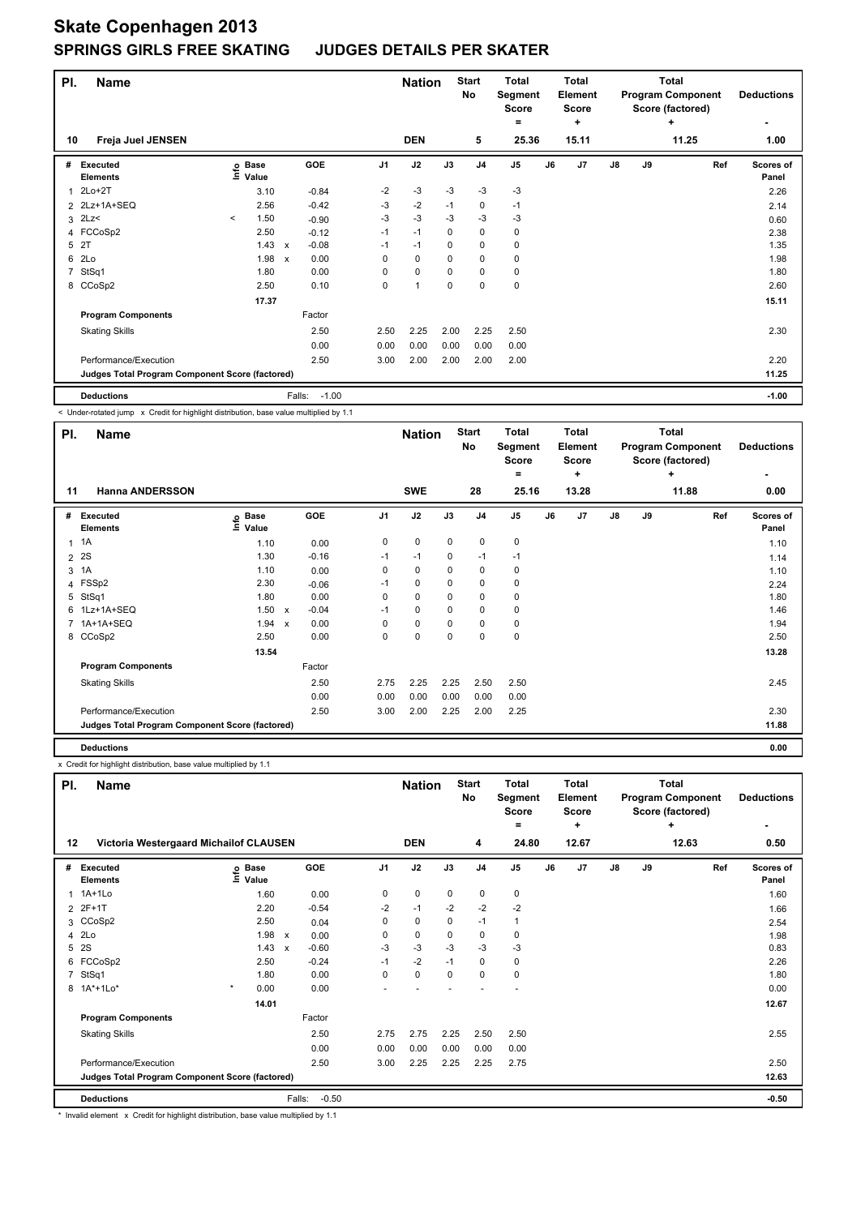| PI. | <b>Name</b>                                     |         |                      |                           |                   |                | <b>Nation</b> |             | <b>Start</b><br>No | <b>Total</b><br>Segment<br><b>Score</b><br>= |    | <b>Total</b><br>Element<br><b>Score</b><br>÷ |               |    | <b>Total</b><br><b>Program Component</b><br>Score (factored)<br>÷ | <b>Deductions</b>         |
|-----|-------------------------------------------------|---------|----------------------|---------------------------|-------------------|----------------|---------------|-------------|--------------------|----------------------------------------------|----|----------------------------------------------|---------------|----|-------------------------------------------------------------------|---------------------------|
| 10  | Freja Juel JENSEN                               |         |                      |                           |                   |                | <b>DEN</b>    |             | 5                  | 25.36                                        |    | 15.11                                        |               |    | 11.25                                                             | 1.00                      |
| #   | Executed<br><b>Elements</b>                     | ۴ů      | <b>Base</b><br>Value |                           | GOE               | J <sub>1</sub> | J2            | J3          | J <sub>4</sub>     | J <sub>5</sub>                               | J6 | J <sub>7</sub>                               | $\mathsf{J}8$ | J9 | Ref                                                               | <b>Scores of</b><br>Panel |
| 1   | 2Lo+2T                                          |         | 3.10                 |                           | $-0.84$           | $-2$           | $-3$          | $-3$        | $-3$               | $-3$                                         |    |                                              |               |    |                                                                   | 2.26                      |
|     | 2 2Lz+1A+SEQ                                    |         | 2.56                 |                           | $-0.42$           | $-3$           | $-2$          | $-1$        | 0                  | $-1$                                         |    |                                              |               |    |                                                                   | 2.14                      |
| 3   | 2Lz                                             | $\prec$ | 1.50                 |                           | $-0.90$           | $-3$           | $-3$          | -3          | $-3$               | $-3$                                         |    |                                              |               |    |                                                                   | 0.60                      |
|     | 4 FCCoSp2                                       |         | 2.50                 |                           | $-0.12$           | $-1$           | $-1$          | 0           | 0                  | 0                                            |    |                                              |               |    |                                                                   | 2.38                      |
| 5   | 2T                                              |         | 1.43                 | $\mathsf{x}$              | $-0.08$           | $-1$           | $-1$          | 0           | 0                  | 0                                            |    |                                              |               |    |                                                                   | 1.35                      |
| 6   | 2Lo                                             |         | 1.98                 | $\boldsymbol{\mathsf{x}}$ | 0.00              | 0              | $\mathbf 0$   | $\mathbf 0$ | $\mathbf 0$        | 0                                            |    |                                              |               |    |                                                                   | 1.98                      |
| 7   | StSq1                                           |         | 1.80                 |                           | 0.00              | 0              | 0             | 0           | 0                  | 0                                            |    |                                              |               |    |                                                                   | 1.80                      |
|     | 8 CCoSp2                                        |         | 2.50                 |                           | 0.10              | 0              | 1             | $\mathbf 0$ | $\mathbf 0$        | $\mathbf 0$                                  |    |                                              |               |    |                                                                   | 2.60                      |
|     |                                                 |         | 17.37                |                           |                   |                |               |             |                    |                                              |    |                                              |               |    |                                                                   | 15.11                     |
|     | <b>Program Components</b>                       |         |                      |                           | Factor            |                |               |             |                    |                                              |    |                                              |               |    |                                                                   |                           |
|     | <b>Skating Skills</b>                           |         |                      |                           | 2.50              | 2.50           | 2.25          | 2.00        | 2.25               | 2.50                                         |    |                                              |               |    |                                                                   | 2.30                      |
|     |                                                 |         |                      |                           | 0.00              | 0.00           | 0.00          | 0.00        | 0.00               | 0.00                                         |    |                                              |               |    |                                                                   |                           |
|     | Performance/Execution                           |         |                      |                           | 2.50              | 3.00           | 2.00          | 2.00        | 2.00               | 2.00                                         |    |                                              |               |    |                                                                   | 2.20                      |
|     | Judges Total Program Component Score (factored) |         |                      |                           |                   |                |               |             |                    |                                              |    |                                              |               |    |                                                                   | 11.25                     |
|     | <b>Deductions</b>                               |         |                      |                           | $-1.00$<br>Falls: |                |               |             |                    |                                              |    |                                              |               |    |                                                                   | $-1.00$                   |

< Under-rotated jump x Credit for highlight distribution, base value multiplied by 1.1

| PI. | <b>Name</b>                                     |                            |                         |                | <b>Nation</b> |             | <b>Start</b><br>No | <b>Total</b><br>Segment<br><b>Score</b><br>$=$ |    | <b>Total</b><br>Element<br><b>Score</b><br>٠ |               |    | <b>Total</b><br><b>Program Component</b><br>Score (factored)<br>٠ | <b>Deductions</b>         |
|-----|-------------------------------------------------|----------------------------|-------------------------|----------------|---------------|-------------|--------------------|------------------------------------------------|----|----------------------------------------------|---------------|----|-------------------------------------------------------------------|---------------------------|
| 11  | <b>Hanna ANDERSSON</b>                          |                            |                         |                | <b>SWE</b>    |             | 28                 | 25.16                                          |    | 13.28                                        |               |    | 11.88                                                             | 0.00                      |
|     | # Executed<br><b>Elements</b>                   | 은 Base<br>- Value<br>Value | GOE                     | J <sub>1</sub> | J2            | J3          | J <sub>4</sub>     | J <sub>5</sub>                                 | J6 | J7                                           | $\mathsf{J}8$ | J9 | Ref                                                               | <b>Scores of</b><br>Panel |
|     | $1 \t1A$                                        | 1.10                       | 0.00                    | 0              | $\pmb{0}$     | 0           | $\mathbf 0$        | 0                                              |    |                                              |               |    |                                                                   | 1.10                      |
|     | 2 2 S                                           | 1.30                       | $-0.16$                 | $-1$           | $-1$          | 0           | $-1$               | $-1$                                           |    |                                              |               |    |                                                                   | 1.14                      |
| 3   | 1A                                              | 1.10                       | 0.00                    | 0              | 0             | 0           | 0                  | 0                                              |    |                                              |               |    |                                                                   | 1.10                      |
| 4   | FSSp2                                           | 2.30                       | $-0.06$                 | $-1$           | 0             | 0           | 0                  | 0                                              |    |                                              |               |    |                                                                   | 2.24                      |
| 5   | StSq1                                           | 1.80                       | 0.00                    | 0              | $\mathbf 0$   | $\mathbf 0$ | $\mathbf 0$        | 0                                              |    |                                              |               |    |                                                                   | 1.80                      |
|     | 6 1Lz+1A+SEQ                                    | 1.50                       | $-0.04$<br>$\mathsf{x}$ | $-1$           | 0             | 0           | 0                  | 0                                              |    |                                              |               |    |                                                                   | 1.46                      |
|     | 7 1A+1A+SEQ                                     | 1.94 x                     | 0.00                    | 0              | $\mathbf 0$   | $\mathbf 0$ | $\mathbf 0$        | 0                                              |    |                                              |               |    |                                                                   | 1.94                      |
|     | 8 CCoSp2                                        | 2.50                       | 0.00                    | 0              | $\mathbf 0$   | $\Omega$    | $\mathbf 0$        | 0                                              |    |                                              |               |    |                                                                   | 2.50                      |
|     |                                                 | 13.54                      |                         |                |               |             |                    |                                                |    |                                              |               |    |                                                                   | 13.28                     |
|     | <b>Program Components</b>                       |                            | Factor                  |                |               |             |                    |                                                |    |                                              |               |    |                                                                   |                           |
|     | <b>Skating Skills</b>                           |                            | 2.50                    | 2.75           | 2.25          | 2.25        | 2.50               | 2.50                                           |    |                                              |               |    |                                                                   | 2.45                      |
|     |                                                 |                            | 0.00                    | 0.00           | 0.00          | 0.00        | 0.00               | 0.00                                           |    |                                              |               |    |                                                                   |                           |
|     | Performance/Execution                           |                            | 2.50                    | 3.00           | 2.00          | 2.25        | 2.00               | 2.25                                           |    |                                              |               |    |                                                                   | 2.30                      |
|     | Judges Total Program Component Score (factored) |                            |                         |                |               |             |                    |                                                |    |                                              |               |    |                                                                   | 11.88                     |
|     | <b>Deductions</b>                               |                            |                         |                |               |             |                    |                                                |    |                                              |               |    |                                                                   | 0.00                      |

x Credit for highlight distribution, base value multiplied by 1.1

| PI.            | <b>Name</b>                                     |                                  |                                      |                | <b>Nation</b> |             | <b>Start</b><br>No | <b>Total</b><br>Segment<br><b>Score</b><br>= |    | <b>Total</b><br><b>Element</b><br><b>Score</b><br>÷ |    |    | <b>Total</b><br><b>Program Component</b><br>Score (factored)<br>٠ | <b>Deductions</b>  |
|----------------|-------------------------------------------------|----------------------------------|--------------------------------------|----------------|---------------|-------------|--------------------|----------------------------------------------|----|-----------------------------------------------------|----|----|-------------------------------------------------------------------|--------------------|
| 12             | Victoria Westergaard Michailof CLAUSEN          |                                  |                                      |                | <b>DEN</b>    |             | 4                  | 24.80                                        |    | 12.67                                               |    |    | 12.63                                                             | 0.50               |
| #              | Executed<br><b>Elements</b>                     | <b>Base</b><br>e Base<br>⊆ Value | <b>GOE</b>                           | J <sub>1</sub> | J2            | J3          | J <sub>4</sub>     | J <sub>5</sub>                               | J6 | J7                                                  | J8 | J9 | Ref                                                               | Scores of<br>Panel |
| 1              | $1A+1Lo$                                        | 1.60                             | 0.00                                 | 0              | $\pmb{0}$     | $\mathbf 0$ | $\mathbf 0$        | $\pmb{0}$                                    |    |                                                     |    |    |                                                                   | 1.60               |
|                | 2 2F+1T                                         | 2.20                             | $-0.54$                              | $-2$           | $-1$          | $-2$        | $-2$               | $-2$                                         |    |                                                     |    |    |                                                                   | 1.66               |
|                | 3 CCoSp2                                        | 2.50                             | 0.04                                 | $\Omega$       | $\mathbf 0$   | $\mathbf 0$ | $-1$               | $\mathbf{1}$                                 |    |                                                     |    |    |                                                                   | 2.54               |
| 4              | 2Lo                                             | 1.98                             | $\mathsf{x}$<br>0.00                 | 0              | $\mathbf 0$   | 0           | $\mathbf 0$        | 0                                            |    |                                                     |    |    |                                                                   | 1.98               |
| 5              | 2S                                              | 1.43                             | $-0.60$<br>$\boldsymbol{\mathsf{x}}$ | -3             | $-3$          | -3          | -3                 | $-3$                                         |    |                                                     |    |    |                                                                   | 0.83               |
| 6              | FCCoSp2                                         | 2.50                             | $-0.24$                              | $-1$           | $-2$          | $-1$        | 0                  | 0                                            |    |                                                     |    |    |                                                                   | 2.26               |
| $\overline{7}$ | StSq1                                           | 1.80                             | 0.00                                 | 0              | $\mathbf 0$   | $\Omega$    | $\mathbf 0$        | $\mathbf 0$                                  |    |                                                     |    |    |                                                                   | 1.80               |
|                | 8 1A*+1Lo*                                      | $\star$<br>0.00                  | 0.00                                 |                |               |             |                    |                                              |    |                                                     |    |    |                                                                   | 0.00               |
|                |                                                 | 14.01                            |                                      |                |               |             |                    |                                              |    |                                                     |    |    |                                                                   | 12.67              |
|                | <b>Program Components</b>                       |                                  | Factor                               |                |               |             |                    |                                              |    |                                                     |    |    |                                                                   |                    |
|                | <b>Skating Skills</b>                           |                                  | 2.50                                 | 2.75           | 2.75          | 2.25        | 2.50               | 2.50                                         |    |                                                     |    |    |                                                                   | 2.55               |
|                |                                                 |                                  | 0.00                                 | 0.00           | 0.00          | 0.00        | 0.00               | 0.00                                         |    |                                                     |    |    |                                                                   |                    |
|                | Performance/Execution                           |                                  | 2.50                                 | 3.00           | 2.25          | 2.25        | 2.25               | 2.75                                         |    |                                                     |    |    |                                                                   | 2.50               |
|                | Judges Total Program Component Score (factored) |                                  |                                      |                |               |             |                    |                                              |    |                                                     |    |    |                                                                   | 12.63              |
|                | <b>Deductions</b>                               |                                  | Falls:                               | $-0.50$        |               |             |                    |                                              |    |                                                     |    |    |                                                                   | $-0.50$            |

\* Invalid element x Credit for highlight distribution, base value multiplied by 1.1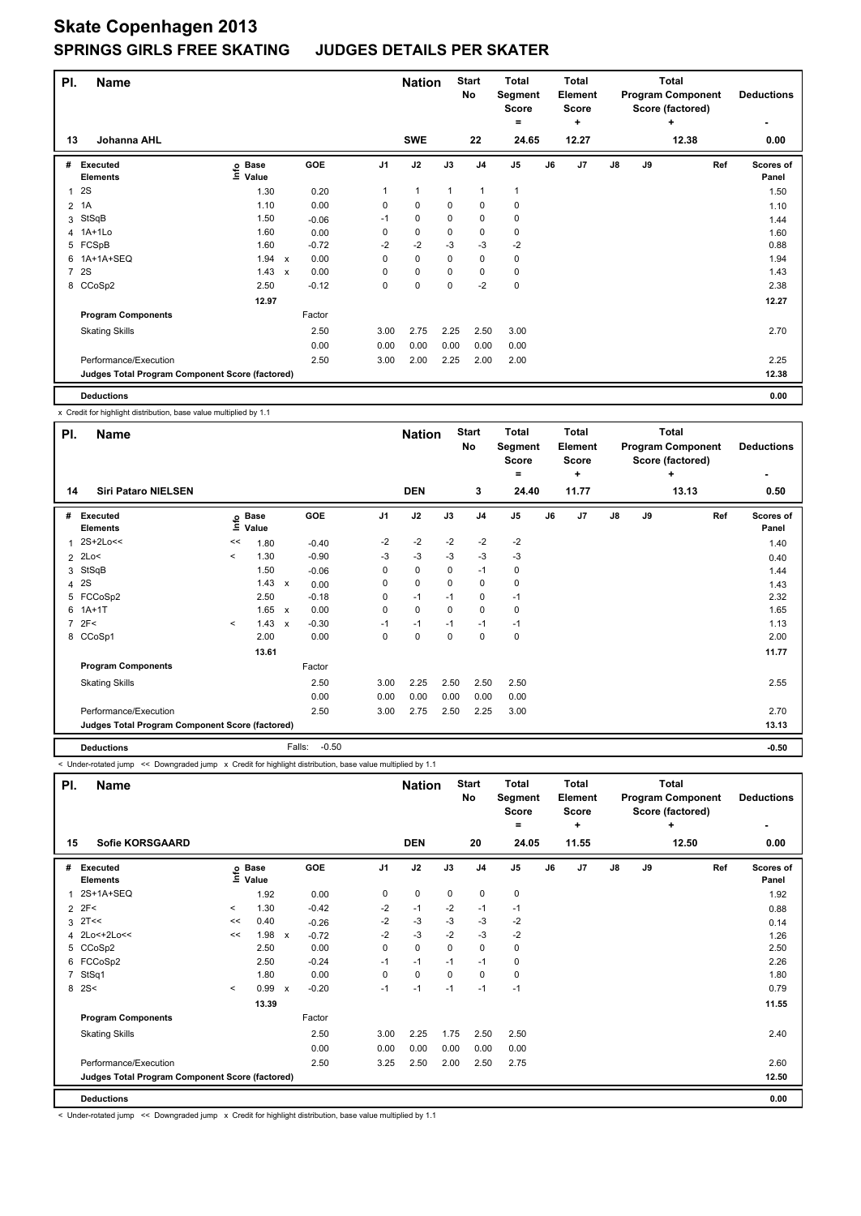| PI.            | <b>Name</b>                                     |                            |                           |         |                | <b>Nation</b> |             | <b>Start</b><br>No | <b>Total</b><br>Segment<br><b>Score</b><br>= |    | <b>Total</b><br>Element<br><b>Score</b><br>٠ |               |    | <b>Total</b><br><b>Program Component</b><br>Score (factored)<br>٠ | <b>Deductions</b>         |
|----------------|-------------------------------------------------|----------------------------|---------------------------|---------|----------------|---------------|-------------|--------------------|----------------------------------------------|----|----------------------------------------------|---------------|----|-------------------------------------------------------------------|---------------------------|
| 13             | Johanna AHL                                     |                            |                           |         |                | <b>SWE</b>    |             | 22                 | 24.65                                        |    | 12.27                                        |               |    | 12.38                                                             | 0.00                      |
| #              | Executed<br><b>Elements</b>                     | e Base<br>E Value<br>Value |                           | GOE     | J <sub>1</sub> | J2            | J3          | J <sub>4</sub>     | J <sub>5</sub>                               | J6 | J7                                           | $\mathsf{J}8$ | J9 | Ref                                                               | <b>Scores of</b><br>Panel |
| 1              | 2S                                              | 1.30                       |                           | 0.20    | 1              | $\mathbf{1}$  | 1           | $\overline{1}$     |                                              |    |                                              |               |    |                                                                   | 1.50                      |
| $\overline{2}$ | 1A                                              | 1.10                       |                           | 0.00    | 0              | 0             | 0           | 0                  | 0                                            |    |                                              |               |    |                                                                   | 1.10                      |
| 3              | StSqB                                           | 1.50                       |                           | $-0.06$ | -1             | 0             | 0           | $\mathbf 0$        | 0                                            |    |                                              |               |    |                                                                   | 1.44                      |
|                | 4 1A+1Lo                                        | 1.60                       |                           | 0.00    | 0              | $\pmb{0}$     | 0           | 0                  | 0                                            |    |                                              |               |    |                                                                   | 1.60                      |
| 5              | FCSpB                                           | 1.60                       |                           | $-0.72$ | $-2$           | $-2$          | -3          | $-3$               | $-2$                                         |    |                                              |               |    |                                                                   | 0.88                      |
| 6              | 1A+1A+SEQ                                       | 1.94                       | $\boldsymbol{\mathsf{x}}$ | 0.00    | 0              | $\mathbf 0$   | 0           | $\mathbf 0$        | 0                                            |    |                                              |               |    |                                                                   | 1.94                      |
| $\overline{7}$ | 2S                                              | 1.43                       | $\mathsf{x}$              | 0.00    | 0              | $\pmb{0}$     | 0           | $\mathbf 0$        | 0                                            |    |                                              |               |    |                                                                   | 1.43                      |
|                | 8 CCoSp2                                        | 2.50                       |                           | $-0.12$ | 0              | $\mathbf 0$   | $\mathbf 0$ | $-2$               | $\mathbf 0$                                  |    |                                              |               |    |                                                                   | 2.38                      |
|                |                                                 | 12.97                      |                           |         |                |               |             |                    |                                              |    |                                              |               |    |                                                                   | 12.27                     |
|                | <b>Program Components</b>                       |                            |                           | Factor  |                |               |             |                    |                                              |    |                                              |               |    |                                                                   |                           |
|                | <b>Skating Skills</b>                           |                            |                           | 2.50    | 3.00           | 2.75          | 2.25        | 2.50               | 3.00                                         |    |                                              |               |    |                                                                   | 2.70                      |
|                |                                                 |                            |                           | 0.00    | 0.00           | 0.00          | 0.00        | 0.00               | 0.00                                         |    |                                              |               |    |                                                                   |                           |
|                | Performance/Execution                           |                            |                           | 2.50    | 3.00           | 2.00          | 2.25        | 2.00               | 2.00                                         |    |                                              |               |    |                                                                   | 2.25                      |
|                | Judges Total Program Component Score (factored) |                            |                           |         |                |               |             |                    |                                              |    |                                              |               |    |                                                                   | 12.38                     |
|                | <b>Deductions</b>                               |                            |                           |         |                |               |             |                    |                                              |    |                                              |               |    |                                                                   | 0.00                      |

x Credit for highlight distribution, base value multiplied by 1.1

| PI. | <b>Name</b>                                     |                           |                      |                           |                   |                | <b>Nation</b> |      | <b>Start</b><br>No | <b>Total</b><br>Segment<br><b>Score</b><br>$=$ |    | <b>Total</b><br>Element<br><b>Score</b><br>÷ |               |    | <b>Total</b><br><b>Program Component</b><br>Score (factored)<br>٠ | <b>Deductions</b>  |
|-----|-------------------------------------------------|---------------------------|----------------------|---------------------------|-------------------|----------------|---------------|------|--------------------|------------------------------------------------|----|----------------------------------------------|---------------|----|-------------------------------------------------------------------|--------------------|
| 14  | <b>Siri Pataro NIELSEN</b>                      |                           |                      |                           |                   |                | <b>DEN</b>    |      | 3                  | 24.40                                          |    | 11.77                                        |               |    | 13.13                                                             | 0.50               |
|     | # Executed<br><b>Elements</b>                   | $\mathsf{Int}^\mathsf{o}$ | <b>Base</b><br>Value |                           | <b>GOE</b>        | J <sub>1</sub> | J2            | J3   | J <sub>4</sub>     | J5                                             | J6 | J7                                           | $\mathsf{J}8$ | J9 | Ref                                                               | Scores of<br>Panel |
|     | 1 2S+2Lo<<                                      | <<                        | 1.80                 |                           | $-0.40$           | $-2$           | $-2$          | $-2$ | $-2$               | $-2$                                           |    |                                              |               |    |                                                                   | 1.40               |
|     | $2$ 2Lo<                                        | $\prec$                   | 1.30                 |                           | $-0.90$           | $-3$           | $-3$          | $-3$ | $-3$               | $-3$                                           |    |                                              |               |    |                                                                   | 0.40               |
|     | 3 StSqB                                         |                           | 1.50                 |                           | $-0.06$           | 0              | 0             | 0    | $-1$               | 0                                              |    |                                              |               |    |                                                                   | 1.44               |
|     | 4 2S                                            |                           | 1.43                 | $\mathbf{x}$              | 0.00              | 0              | 0             | 0    | 0                  | 0                                              |    |                                              |               |    |                                                                   | 1.43               |
|     | 5 FCCoSp2                                       |                           | 2.50                 |                           | $-0.18$           | 0              | $-1$          | $-1$ | 0                  | $-1$                                           |    |                                              |               |    |                                                                   | 2.32               |
|     | 6 1A+1T                                         |                           | 1.65                 | $\mathbf{x}$              | 0.00              | 0              | 0             | 0    | $\mathbf 0$        | 0                                              |    |                                              |               |    |                                                                   | 1.65               |
|     | 7.2F<                                           | $\hat{}$                  | 1.43                 | $\boldsymbol{\mathsf{x}}$ | $-0.30$           | $-1$           | $-1$          | $-1$ | $-1$               | $-1$                                           |    |                                              |               |    |                                                                   | 1.13               |
|     | 8 CCoSp1                                        |                           | 2.00                 |                           | 0.00              | 0              | 0             | 0    | $\mathbf 0$        | 0                                              |    |                                              |               |    |                                                                   | 2.00               |
|     |                                                 |                           | 13.61                |                           |                   |                |               |      |                    |                                                |    |                                              |               |    |                                                                   | 11.77              |
|     | <b>Program Components</b>                       |                           |                      |                           | Factor            |                |               |      |                    |                                                |    |                                              |               |    |                                                                   |                    |
|     | <b>Skating Skills</b>                           |                           |                      |                           | 2.50              | 3.00           | 2.25          | 2.50 | 2.50               | 2.50                                           |    |                                              |               |    |                                                                   | 2.55               |
|     |                                                 |                           |                      |                           | 0.00              | 0.00           | 0.00          | 0.00 | 0.00               | 0.00                                           |    |                                              |               |    |                                                                   |                    |
|     | Performance/Execution                           |                           |                      |                           | 2.50              | 3.00           | 2.75          | 2.50 | 2.25               | 3.00                                           |    |                                              |               |    |                                                                   | 2.70               |
|     | Judges Total Program Component Score (factored) |                           |                      |                           |                   |                |               |      |                    |                                                |    |                                              |               |    |                                                                   | 13.13              |
|     | <b>Deductions</b>                               |                           |                      |                           | $-0.50$<br>Falls: |                |               |      |                    |                                                |    |                                              |               |    |                                                                   | $-0.50$            |

< Under-rotated jump << Downgraded jump x Credit for highlight distribution, base value multiplied by 1.1

| PI.            | <b>Name</b>                                     |         |                            |              |         |                | <b>Nation</b> |          | <b>Start</b><br>No | <b>Total</b><br>Segment<br><b>Score</b><br>= |    | <b>Total</b><br>Element<br><b>Score</b><br>٠ |               |    | Total<br><b>Program Component</b><br>Score (factored)<br>٠ | <b>Deductions</b>  |
|----------------|-------------------------------------------------|---------|----------------------------|--------------|---------|----------------|---------------|----------|--------------------|----------------------------------------------|----|----------------------------------------------|---------------|----|------------------------------------------------------------|--------------------|
| 15             | <b>Sofie KORSGAARD</b>                          |         |                            |              |         |                | <b>DEN</b>    |          | 20                 | 24.05                                        |    | 11.55                                        |               |    | 12.50                                                      | 0.00               |
| #              | <b>Executed</b><br><b>Elements</b>              |         | e Base<br>E Value<br>Value |              | GOE     | J <sub>1</sub> | J2            | J3       | J <sub>4</sub>     | J <sub>5</sub>                               | J6 | J7                                           | $\mathsf{J}8$ | J9 | Ref                                                        | Scores of<br>Panel |
| 1              | 2S+1A+SEQ                                       |         | 1.92                       |              | 0.00    | 0              | $\mathbf 0$   | 0        | 0                  | 0                                            |    |                                              |               |    |                                                            | 1.92               |
| $\overline{2}$ | 2F<                                             | $\prec$ | 1.30                       |              | $-0.42$ | $-2$           | $-1$          | $-2$     | $-1$               | $-1$                                         |    |                                              |               |    |                                                            | 0.88               |
| 3              | 2T<<                                            | <<      | 0.40                       |              | $-0.26$ | $-2$           | -3            | -3       | -3                 | $-2$                                         |    |                                              |               |    |                                                            | 0.14               |
|                | 4 2Lo<+2Lo<<                                    | <<      | 1.98                       | $\mathsf{x}$ | $-0.72$ | $-2$           | $-3$          | $-2$     | $-3$               | $-2$                                         |    |                                              |               |    |                                                            | 1.26               |
|                | 5 CCoSp2                                        |         | 2.50                       |              | 0.00    | 0              | 0             | 0        | 0                  | 0                                            |    |                                              |               |    |                                                            | 2.50               |
| 6              | FCCoSp2                                         |         | 2.50                       |              | $-0.24$ | $-1$           | $-1$          | $-1$     | $-1$               | 0                                            |    |                                              |               |    |                                                            | 2.26               |
| $\overline{7}$ | StSq1                                           |         | 1.80                       |              | 0.00    | $\Omega$       | 0             | $\Omega$ | $\mathbf 0$        | $\mathbf 0$                                  |    |                                              |               |    |                                                            | 1.80               |
| 8              | 2S<                                             | $\prec$ | 0.99                       | $\mathsf{x}$ | $-0.20$ | $-1$           | $-1$          | $-1$     | $-1$               | $-1$                                         |    |                                              |               |    |                                                            | 0.79               |
|                |                                                 |         | 13.39                      |              |         |                |               |          |                    |                                              |    |                                              |               |    |                                                            | 11.55              |
|                | <b>Program Components</b>                       |         |                            |              | Factor  |                |               |          |                    |                                              |    |                                              |               |    |                                                            |                    |
|                | <b>Skating Skills</b>                           |         |                            |              | 2.50    | 3.00           | 2.25          | 1.75     | 2.50               | 2.50                                         |    |                                              |               |    |                                                            | 2.40               |
|                |                                                 |         |                            |              | 0.00    | 0.00           | 0.00          | 0.00     | 0.00               | 0.00                                         |    |                                              |               |    |                                                            |                    |
|                | Performance/Execution                           |         |                            |              | 2.50    | 3.25           | 2.50          | 2.00     | 2.50               | 2.75                                         |    |                                              |               |    |                                                            | 2.60               |
|                | Judges Total Program Component Score (factored) |         |                            |              |         |                |               |          |                    |                                              |    |                                              |               |    |                                                            | 12.50              |
|                | <b>Deductions</b>                               |         |                            |              |         |                |               |          |                    |                                              |    |                                              |               |    |                                                            | 0.00               |

< Under-rotated jump << Downgraded jump x Credit for highlight distribution, base value multiplied by 1.1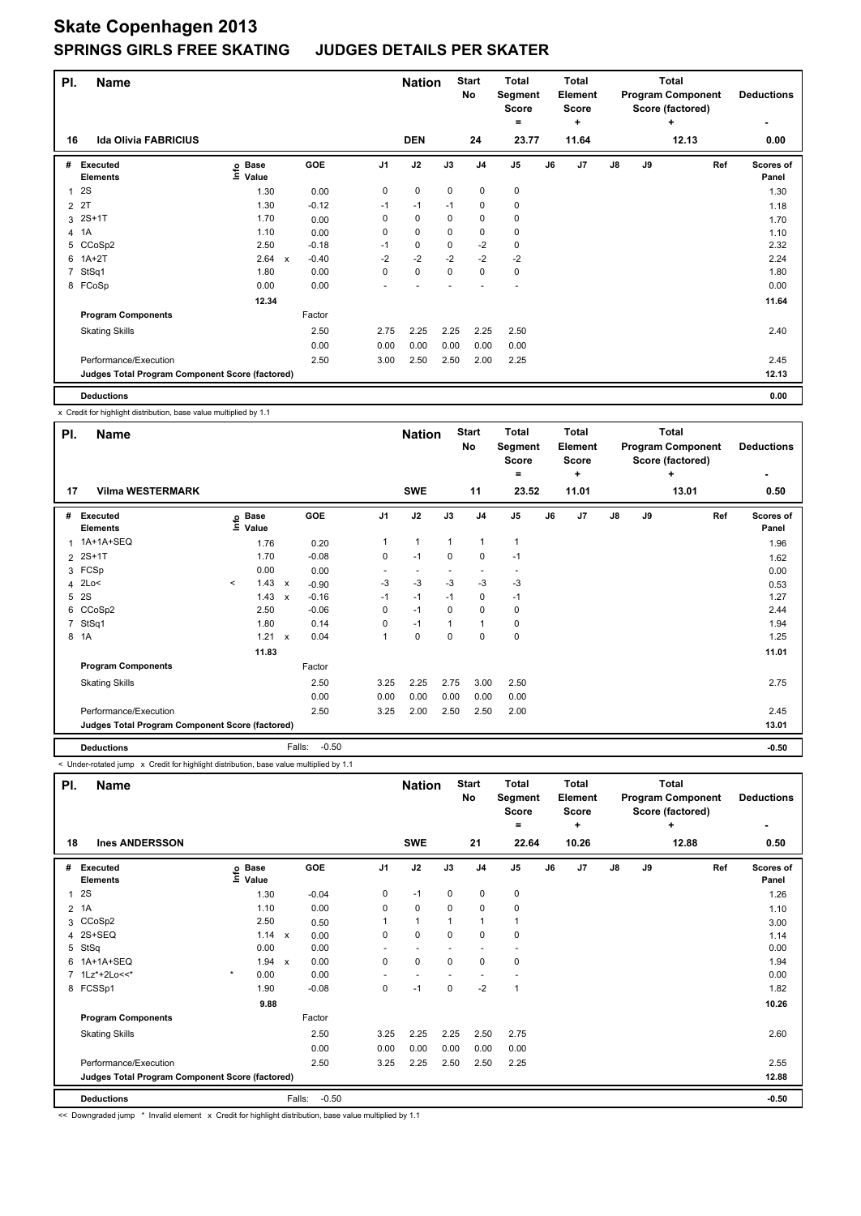| PI.            | <b>Name</b>                                     |                            |              |         |                | <b>Nation</b> |      | <b>Start</b><br>No | <b>Total</b><br>Segment<br>Score<br>۰ |    | Total<br>Element<br><b>Score</b><br>٠ |    |    | <b>Total</b><br><b>Program Component</b><br>Score (factored)<br>٠ | <b>Deductions</b>  |
|----------------|-------------------------------------------------|----------------------------|--------------|---------|----------------|---------------|------|--------------------|---------------------------------------|----|---------------------------------------|----|----|-------------------------------------------------------------------|--------------------|
| 16             | <b>Ida Olivia FABRICIUS</b>                     |                            |              |         |                | <b>DEN</b>    |      | 24                 | 23.77                                 |    | 11.64                                 |    |    | 12.13                                                             | 0.00               |
| #              | Executed<br><b>Elements</b>                     | e Base<br>⊆ Value<br>Value |              | GOE     | J <sub>1</sub> | J2            | J3   | J <sub>4</sub>     | J <sub>5</sub>                        | J6 | J7                                    | J8 | J9 | Ref                                                               | Scores of<br>Panel |
| $\overline{1}$ | 2S                                              | 1.30                       |              | 0.00    | 0              | $\pmb{0}$     | 0    | 0                  | 0                                     |    |                                       |    |    |                                                                   | 1.30               |
| $\overline{2}$ | 2T                                              | 1.30                       |              | $-0.12$ | $-1$           | $-1$          | $-1$ | 0                  | 0                                     |    |                                       |    |    |                                                                   | 1.18               |
|                | 3 2S+1T                                         | 1.70                       |              | 0.00    | 0              | 0             | 0    | $\mathbf 0$        | 0                                     |    |                                       |    |    |                                                                   | 1.70               |
|                | 4 1A                                            | 1.10                       |              | 0.00    | 0              | $\pmb{0}$     | 0    | 0                  | 0                                     |    |                                       |    |    |                                                                   | 1.10               |
| 5              | CCoSp2                                          | 2.50                       |              | $-0.18$ | $-1$           | 0             | 0    | $-2$               | 0                                     |    |                                       |    |    |                                                                   | 2.32               |
| 6              | $1A+2T$                                         | 2.64                       | $\mathsf{x}$ | $-0.40$ | $-2$           | $-2$          | $-2$ | $-2$               | $-2$                                  |    |                                       |    |    |                                                                   | 2.24               |
| 7              | StSq1                                           | 1.80                       |              | 0.00    | 0              | $\pmb{0}$     | 0    | $\mathbf 0$        | 0                                     |    |                                       |    |    |                                                                   | 1.80               |
|                | 8 FCoSp                                         | 0.00                       |              | 0.00    |                |               |      |                    |                                       |    |                                       |    |    |                                                                   | 0.00               |
|                |                                                 | 12.34                      |              |         |                |               |      |                    |                                       |    |                                       |    |    |                                                                   | 11.64              |
|                | <b>Program Components</b>                       |                            |              | Factor  |                |               |      |                    |                                       |    |                                       |    |    |                                                                   |                    |
|                | <b>Skating Skills</b>                           |                            |              | 2.50    | 2.75           | 2.25          | 2.25 | 2.25               | 2.50                                  |    |                                       |    |    |                                                                   | 2.40               |
|                |                                                 |                            |              | 0.00    | 0.00           | 0.00          | 0.00 | 0.00               | 0.00                                  |    |                                       |    |    |                                                                   |                    |
|                | Performance/Execution                           |                            |              | 2.50    | 3.00           | 2.50          | 2.50 | 2.00               | 2.25                                  |    |                                       |    |    |                                                                   | 2.45               |
|                | Judges Total Program Component Score (factored) |                            |              |         |                |               |      |                    |                                       |    |                                       |    |    |                                                                   | 12.13              |
|                | <b>Deductions</b>                               |                            |              |         |                |               |      |                    |                                       |    |                                       |    |    |                                                                   | 0.00               |

x Credit for highlight distribution, base value multiplied by 1.1

| PI. | Name                                            |       |                            |              |                   |                | <b>Nation</b> |      | <b>Start</b><br>No | <b>Total</b><br>Segment<br><b>Score</b><br>$=$ |    | Total<br>Element<br><b>Score</b><br>÷ |    |    | <b>Total</b><br><b>Program Component</b><br>Score (factored)<br>٠ | <b>Deductions</b>  |
|-----|-------------------------------------------------|-------|----------------------------|--------------|-------------------|----------------|---------------|------|--------------------|------------------------------------------------|----|---------------------------------------|----|----|-------------------------------------------------------------------|--------------------|
| 17  | <b>Vilma WESTERMARK</b>                         |       |                            |              |                   |                | <b>SWE</b>    |      | 11                 | 23.52                                          |    | 11.01                                 |    |    | 13.01                                                             | 0.50               |
| #   | Executed<br><b>Elements</b>                     |       | e Base<br>E Value<br>Value |              | GOE               | J <sub>1</sub> | J2            | J3   | J <sub>4</sub>     | J <sub>5</sub>                                 | J6 | J7                                    | J8 | J9 | Ref                                                               | Scores of<br>Panel |
|     | 1 1A+1A+SEQ                                     |       | 1.76                       |              | 0.20              | 1              | 1             | 1    | 1                  | 1                                              |    |                                       |    |    |                                                                   | 1.96               |
|     | 2 2S+1T                                         |       | 1.70                       |              | $-0.08$           | 0              | $-1$          | 0    | $\mathbf 0$        | $-1$                                           |    |                                       |    |    |                                                                   | 1.62               |
|     | 3 FCSp                                          |       | 0.00                       |              | 0.00              |                |               |      |                    |                                                |    |                                       |    |    |                                                                   | 0.00               |
|     | 4 2Lo<                                          | $\,<$ | 1.43                       | $\mathbf{x}$ | $-0.90$           | $-3$           | $-3$          | $-3$ | $-3$               | -3                                             |    |                                       |    |    |                                                                   | 0.53               |
|     | 5 2S                                            |       | 1.43                       | $\mathbf{x}$ | $-0.16$           | $-1$           | $-1$          | $-1$ | 0                  | $-1$                                           |    |                                       |    |    |                                                                   | 1.27               |
|     | 6 CCoSp2                                        |       | 2.50                       |              | $-0.06$           | 0              | $-1$          | 0    | $\mathbf 0$        | 0                                              |    |                                       |    |    |                                                                   | 2.44               |
|     | 7 StSq1                                         |       | 1.80                       |              | 0.14              | 0              | $-1$          | 1    | 1                  | 0                                              |    |                                       |    |    |                                                                   | 1.94               |
|     | 8 1A                                            |       | 1.21                       | $\mathsf{x}$ | 0.04              | 1              | 0             | 0    | 0                  | 0                                              |    |                                       |    |    |                                                                   | 1.25               |
|     |                                                 |       | 11.83                      |              |                   |                |               |      |                    |                                                |    |                                       |    |    |                                                                   | 11.01              |
|     | <b>Program Components</b>                       |       |                            |              | Factor            |                |               |      |                    |                                                |    |                                       |    |    |                                                                   |                    |
|     | <b>Skating Skills</b>                           |       |                            |              | 2.50              | 3.25           | 2.25          | 2.75 | 3.00               | 2.50                                           |    |                                       |    |    |                                                                   | 2.75               |
|     |                                                 |       |                            |              | 0.00              | 0.00           | 0.00          | 0.00 | 0.00               | 0.00                                           |    |                                       |    |    |                                                                   |                    |
|     | Performance/Execution                           |       |                            |              | 2.50              | 3.25           | 2.00          | 2.50 | 2.50               | 2.00                                           |    |                                       |    |    |                                                                   | 2.45               |
|     | Judges Total Program Component Score (factored) |       |                            |              |                   |                |               |      |                    |                                                |    |                                       |    |    |                                                                   | 13.01              |
|     | <b>Deductions</b>                               |       |                            |              | $-0.50$<br>Falls: |                |               |      |                    |                                                |    |                                       |    |    |                                                                   | $-0.50$            |

< Under-rotated jump x Credit for highlight distribution, base value multiplied by 1.1

| PI.            | <b>Name</b>                                     |                              |              |                | <b>Nation</b>            |                | <b>Start</b><br><b>No</b> | <b>Total</b><br>Segment<br>Score<br>= |    | <b>Total</b><br>Element<br>Score<br>٠ |               |    | <b>Total</b><br><b>Program Component</b><br>Score (factored)<br>÷ | <b>Deductions</b>  |
|----------------|-------------------------------------------------|------------------------------|--------------|----------------|--------------------------|----------------|---------------------------|---------------------------------------|----|---------------------------------------|---------------|----|-------------------------------------------------------------------|--------------------|
| 18             | <b>Ines ANDERSSON</b>                           |                              |              |                | <b>SWE</b>               |                | 21                        | 22.64                                 |    | 10.26                                 |               |    | 12.88                                                             | 0.50               |
| #              | <b>Executed</b><br><b>Elements</b>              | <b>Base</b><br>١nfo<br>Value | <b>GOE</b>   | J <sub>1</sub> | J2                       | J3             | J <sub>4</sub>            | J <sub>5</sub>                        | J6 | J <sub>7</sub>                        | $\mathsf{J}8$ | J9 | Ref                                                               | Scores of<br>Panel |
| $\mathbf{1}$   | 2S                                              | 1.30                         | $-0.04$      | 0              | $-1$                     | 0              | $\mathbf 0$               | $\pmb{0}$                             |    |                                       |               |    |                                                                   | 1.26               |
| $\overline{2}$ | 1A                                              | 1.10                         |              | 0.00<br>0      | $\mathbf 0$              | $\mathbf 0$    | $\mathbf 0$               | $\pmb{0}$                             |    |                                       |               |    |                                                                   | 1.10               |
| 3              | CCoSp2                                          | 2.50                         |              | 0.50           | $\overline{1}$           | $\overline{1}$ | $\overline{1}$            | 1                                     |    |                                       |               |    |                                                                   | 3.00               |
| 4              | 2S+SEQ                                          | 1.14                         | $\mathsf{x}$ | 0<br>0.00      | $\mathbf 0$              | 0              | $\mathbf 0$               | $\pmb{0}$                             |    |                                       |               |    |                                                                   | 1.14               |
| 5              | StSq                                            | 0.00                         |              | 0.00<br>٠      | $\overline{\phantom{a}}$ | ٠              | ٠                         | ٠                                     |    |                                       |               |    |                                                                   | 0.00               |
| 6              | 1A+1A+SEQ                                       | 1.94                         | $\mathsf{x}$ | 0.00<br>0      | $\mathbf 0$              | $\mathbf 0$    | $\mathbf 0$               | $\pmb{0}$                             |    |                                       |               |    |                                                                   | 1.94               |
| $\overline{7}$ | 1Lz*+2Lo<<*                                     | $\star$<br>0.00              |              | 0.00<br>٠      | ٠                        | ٠              |                           | ٠                                     |    |                                       |               |    |                                                                   | 0.00               |
|                | 8 FCSSp1                                        | 1.90                         | $-0.08$      | 0              | $-1$                     | 0              | $-2$                      | $\mathbf{1}$                          |    |                                       |               |    |                                                                   | 1.82               |
|                |                                                 | 9.88                         |              |                |                          |                |                           |                                       |    |                                       |               |    |                                                                   | 10.26              |
|                | <b>Program Components</b>                       |                              | Factor       |                |                          |                |                           |                                       |    |                                       |               |    |                                                                   |                    |
|                | <b>Skating Skills</b>                           |                              |              | 2.50<br>3.25   | 2.25                     | 2.25           | 2.50                      | 2.75                                  |    |                                       |               |    |                                                                   | 2.60               |
|                |                                                 |                              |              | 0.00<br>0.00   | 0.00                     | 0.00           | 0.00                      | 0.00                                  |    |                                       |               |    |                                                                   |                    |
|                | Performance/Execution                           |                              |              | 2.50<br>3.25   | 2.25                     | 2.50           | 2.50                      | 2.25                                  |    |                                       |               |    |                                                                   | 2.55               |
|                | Judges Total Program Component Score (factored) |                              |              |                |                          |                |                           |                                       |    |                                       |               |    |                                                                   | 12.88              |
|                | <b>Deductions</b>                               |                              | Falls:       | $-0.50$        |                          |                |                           |                                       |    |                                       |               |    |                                                                   | $-0.50$            |

<< Downgraded jump \* Invalid element x Credit for highlight distribution, base value multiplied by 1.1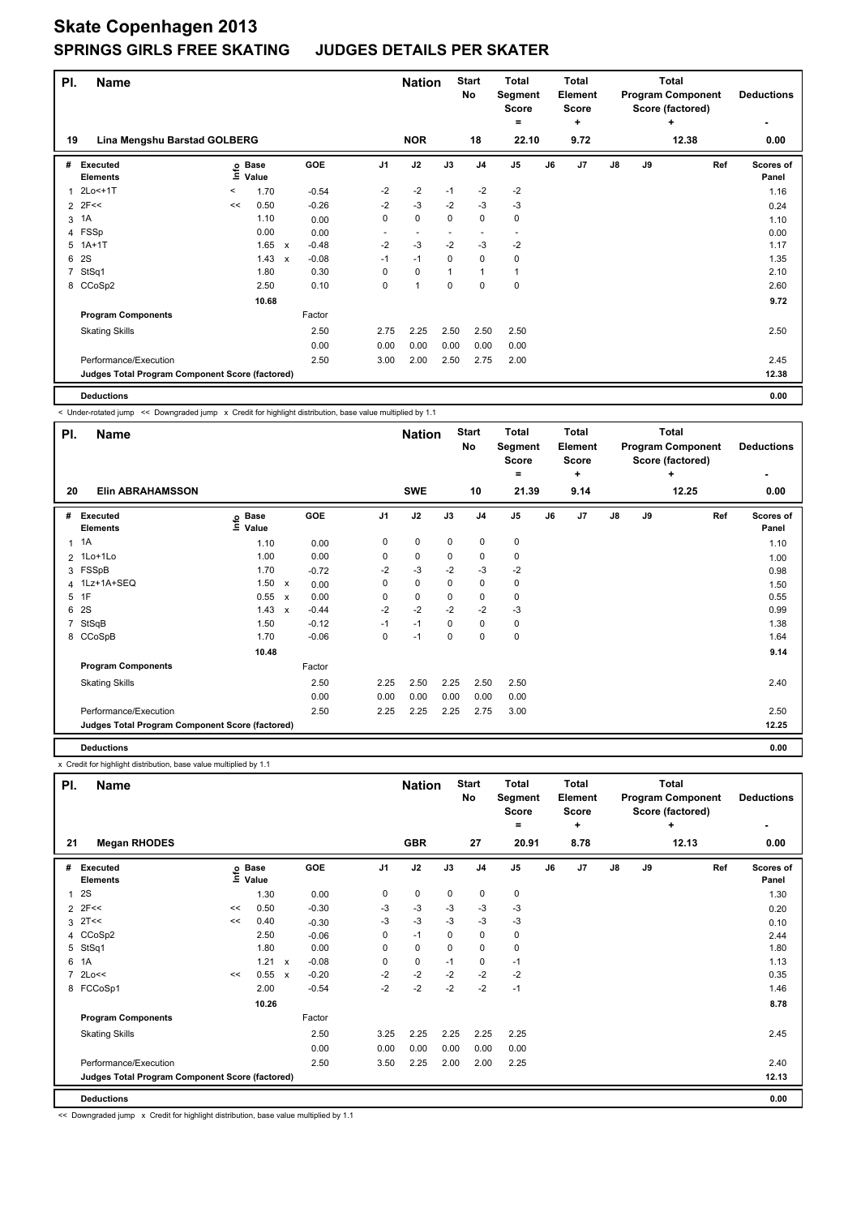| PI. | <b>Name</b>                                     |       |                            |                           |         |                | <b>Nation</b>            |             | <b>Start</b><br>No       | <b>Total</b><br>Segment<br>Score<br>۰ |    | <b>Total</b><br>Element<br><b>Score</b><br>٠ |    |    | <b>Total</b><br><b>Program Component</b><br>Score (factored)<br>٠ | <b>Deductions</b>         |
|-----|-------------------------------------------------|-------|----------------------------|---------------------------|---------|----------------|--------------------------|-------------|--------------------------|---------------------------------------|----|----------------------------------------------|----|----|-------------------------------------------------------------------|---------------------------|
| 19  | Lina Mengshu Barstad GOLBERG                    |       |                            |                           |         |                | <b>NOR</b>               |             | 18                       | 22.10                                 |    | 9.72                                         |    |    | 12.38                                                             | 0.00                      |
| #   | Executed<br><b>Elements</b>                     |       | e Base<br>⊆ Value<br>Value |                           | GOE     | J <sub>1</sub> | J2                       | J3          | J <sub>4</sub>           | J <sub>5</sub>                        | J6 | J7                                           | J8 | J9 | Ref                                                               | <b>Scores of</b><br>Panel |
| 1   | 2Lo<+1T                                         | $\,<$ | 1.70                       |                           | $-0.54$ | $-2$           | $-2$                     | $-1$        | $-2$                     | $-2$                                  |    |                                              |    |    |                                                                   | 1.16                      |
|     | $2$ 2F<<                                        | <<    | 0.50                       |                           | $-0.26$ | $-2$           | $-3$                     | $-2$        | $-3$                     | $-3$                                  |    |                                              |    |    |                                                                   | 0.24                      |
| 3   | 1A                                              |       | 1.10                       |                           | 0.00    | 0              | $\pmb{0}$                | 0           | 0                        | 0                                     |    |                                              |    |    |                                                                   | 1.10                      |
|     | 4 FSSp                                          |       | 0.00                       |                           | 0.00    | ٠              | $\overline{\phantom{a}}$ |             | $\overline{\phantom{a}}$ |                                       |    |                                              |    |    |                                                                   | 0.00                      |
| 5   | $1A+1T$                                         |       | 1.65                       | $\boldsymbol{\mathsf{x}}$ | $-0.48$ | $-2$           | $-3$                     | $-2$        | -3                       | $-2$                                  |    |                                              |    |    |                                                                   | 1.17                      |
| 6   | <b>2S</b>                                       |       | 1.43                       | $\mathsf{x}$              | $-0.08$ | $-1$           | $-1$                     | $\mathbf 0$ | $\mathbf 0$              | 0                                     |    |                                              |    |    |                                                                   | 1.35                      |
| 7   | StSq1                                           |       | 1.80                       |                           | 0.30    | 0              | $\mathbf 0$              |             | $\mathbf{1}$             | $\mathbf{1}$                          |    |                                              |    |    |                                                                   | 2.10                      |
|     | 8 CCoSp2                                        |       | 2.50                       |                           | 0.10    | 0              | $\mathbf{1}$             | 0           | $\mathbf 0$              | 0                                     |    |                                              |    |    |                                                                   | 2.60                      |
|     |                                                 |       | 10.68                      |                           |         |                |                          |             |                          |                                       |    |                                              |    |    |                                                                   | 9.72                      |
|     | <b>Program Components</b>                       |       |                            |                           | Factor  |                |                          |             |                          |                                       |    |                                              |    |    |                                                                   |                           |
|     | <b>Skating Skills</b>                           |       |                            |                           | 2.50    | 2.75           | 2.25                     | 2.50        | 2.50                     | 2.50                                  |    |                                              |    |    |                                                                   | 2.50                      |
|     |                                                 |       |                            |                           | 0.00    | 0.00           | 0.00                     | 0.00        | 0.00                     | 0.00                                  |    |                                              |    |    |                                                                   |                           |
|     | Performance/Execution                           |       |                            |                           | 2.50    | 3.00           | 2.00                     | 2.50        | 2.75                     | 2.00                                  |    |                                              |    |    |                                                                   | 2.45                      |
|     | Judges Total Program Component Score (factored) |       |                            |                           |         |                |                          |             |                          |                                       |    |                                              |    |    |                                                                   | 12.38                     |
|     | <b>Deductions</b>                               |       |                            |                           |         |                |                          |             |                          |                                       |    |                                              |    |    |                                                                   | 0.00                      |

< Under-rotated jump << Downgraded jump x Credit for highlight distribution, base value multiplied by 1.1

| PI.         | <b>Name</b>                                     |                            |                           |         |      | <b>Nation</b> |      | <b>Start</b><br>No | <b>Total</b><br>Segment<br><b>Score</b><br>= |    | <b>Total</b><br>Element<br><b>Score</b><br>٠ |               |    | <b>Total</b><br><b>Program Component</b><br>Score (factored)<br>٠ | <b>Deductions</b>         |
|-------------|-------------------------------------------------|----------------------------|---------------------------|---------|------|---------------|------|--------------------|----------------------------------------------|----|----------------------------------------------|---------------|----|-------------------------------------------------------------------|---------------------------|
| 20          | <b>Elin ABRAHAMSSON</b>                         |                            |                           |         |      | <b>SWE</b>    |      | 10                 | 21.39                                        |    | 9.14                                         |               |    | 12.25                                                             | 0.00                      |
| #           | Executed<br><b>Elements</b>                     | e Base<br>E Value<br>Value |                           | GOE     | J1   | J2            | J3   | J <sub>4</sub>     | J <sub>5</sub>                               | J6 | J7                                           | $\mathsf{J}8$ | J9 | Ref                                                               | <b>Scores of</b><br>Panel |
|             | $1 \t1A$                                        | 1.10                       |                           | 0.00    | 0    | 0             | 0    | 0                  | 0                                            |    |                                              |               |    |                                                                   | 1.10                      |
|             | 2 1Lo+1Lo                                       | 1.00                       |                           | 0.00    | 0    | 0             | 0    | 0                  | 0                                            |    |                                              |               |    |                                                                   | 1.00                      |
|             | 3 FSSpB                                         | 1.70                       |                           | $-0.72$ | $-2$ | $-3$          | $-2$ | $-3$               | $-2$                                         |    |                                              |               |    |                                                                   | 0.98                      |
|             | 4 1Lz+1A+SEQ                                    | 1.50                       | $\boldsymbol{\mathsf{x}}$ | 0.00    | 0    | $\mathbf 0$   | 0    | 0                  | 0                                            |    |                                              |               |    |                                                                   | 1.50                      |
|             | 5 1F                                            | 0.55                       | $\mathbf{x}$              | 0.00    | 0    | 0             | 0    | 0                  | 0                                            |    |                                              |               |    |                                                                   | 0.55                      |
|             | 6 2S                                            | 1.43                       | $\mathsf{x}$              | $-0.44$ | $-2$ | $-2$          | $-2$ | $-2$               | $-3$                                         |    |                                              |               |    |                                                                   | 0.99                      |
| $7^{\circ}$ | StSqB                                           | 1.50                       |                           | $-0.12$ | $-1$ | $-1$          | 0    | 0                  | 0                                            |    |                                              |               |    |                                                                   | 1.38                      |
|             | 8 CCoSpB                                        | 1.70                       |                           | $-0.06$ | 0    | $-1$          | 0    | 0                  | 0                                            |    |                                              |               |    |                                                                   | 1.64                      |
|             |                                                 | 10.48                      |                           |         |      |               |      |                    |                                              |    |                                              |               |    |                                                                   | 9.14                      |
|             | <b>Program Components</b>                       |                            |                           | Factor  |      |               |      |                    |                                              |    |                                              |               |    |                                                                   |                           |
|             | <b>Skating Skills</b>                           |                            |                           | 2.50    | 2.25 | 2.50          | 2.25 | 2.50               | 2.50                                         |    |                                              |               |    |                                                                   | 2.40                      |
|             |                                                 |                            |                           | 0.00    | 0.00 | 0.00          | 0.00 | 0.00               | 0.00                                         |    |                                              |               |    |                                                                   |                           |
|             | Performance/Execution                           |                            |                           | 2.50    | 2.25 | 2.25          | 2.25 | 2.75               | 3.00                                         |    |                                              |               |    |                                                                   | 2.50                      |
|             | Judges Total Program Component Score (factored) |                            |                           |         |      |               |      |                    |                                              |    |                                              |               |    |                                                                   | 12.25                     |
|             | <b>Deductions</b>                               |                            |                           |         |      |               |      |                    |                                              |    |                                              |               |    |                                                                   | 0.00                      |

x Credit for highlight distribution, base value multiplied by 1.1

| PI.            | <b>Name</b>                                     |    |                      |                           |         |                | <b>Nation</b> |             | <b>Start</b><br>No | <b>Total</b><br>Segment<br>Score<br>= |    | Total<br><b>Element</b><br><b>Score</b><br>÷ |               |    | <b>Total</b><br><b>Program Component</b><br>Score (factored)<br>٠ | <b>Deductions</b>         |
|----------------|-------------------------------------------------|----|----------------------|---------------------------|---------|----------------|---------------|-------------|--------------------|---------------------------------------|----|----------------------------------------------|---------------|----|-------------------------------------------------------------------|---------------------------|
| 21             | <b>Megan RHODES</b>                             |    |                      |                           |         |                | <b>GBR</b>    |             | 27                 | 20.91                                 |    | 8.78                                         |               |    | 12.13                                                             | 0.00                      |
| #              | <b>Executed</b><br><b>Elements</b>              | e  | <b>Base</b><br>Value |                           | GOE     | J <sub>1</sub> | J2            | J3          | J <sub>4</sub>     | J <sub>5</sub>                        | J6 | J <sub>7</sub>                               | $\mathsf{J}8$ | J9 | Ref                                                               | <b>Scores of</b><br>Panel |
| 1              | 2S                                              |    | 1.30                 |                           | 0.00    | 0              | $\pmb{0}$     | 0           | 0                  | 0                                     |    |                                              |               |    |                                                                   | 1.30                      |
| $\overline{2}$ | 2F<<                                            | << | 0.50                 |                           | $-0.30$ | -3             | $-3$          | $-3$        | $-3$               | $-3$                                  |    |                                              |               |    |                                                                   | 0.20                      |
| 3              | 2T<<                                            | << | 0.40                 |                           | $-0.30$ | $-3$           | $-3$          | $-3$        | $-3$               | $-3$                                  |    |                                              |               |    |                                                                   | 0.10                      |
| 4              | CCoSp2                                          |    | 2.50                 |                           | $-0.06$ | 0              | $-1$          | $\mathbf 0$ | 0                  | 0                                     |    |                                              |               |    |                                                                   | 2.44                      |
| 5              | StSq1                                           |    | 1.80                 |                           | 0.00    | 0              | $\mathbf 0$   | $\mathbf 0$ | $\mathbf 0$        | $\mathbf 0$                           |    |                                              |               |    |                                                                   | 1.80                      |
| 6              | 1A                                              |    | 1.21                 | $\boldsymbol{\mathsf{x}}$ | $-0.08$ | 0              | $\mathbf 0$   | $-1$        | $\mathbf 0$        | $-1$                                  |    |                                              |               |    |                                                                   | 1.13                      |
| $\overline{7}$ | 2Lo<<                                           | << | 0.55                 | $\boldsymbol{\mathsf{x}}$ | $-0.20$ | $-2$           | $-2$          | $-2$        | $-2$               | $-2$                                  |    |                                              |               |    |                                                                   | 0.35                      |
|                | 8 FCCoSp1                                       |    | 2.00                 |                           | $-0.54$ | $-2$           | $-2$          | $-2$        | $-2$               | $-1$                                  |    |                                              |               |    |                                                                   | 1.46                      |
|                |                                                 |    | 10.26                |                           |         |                |               |             |                    |                                       |    |                                              |               |    |                                                                   | 8.78                      |
|                | <b>Program Components</b>                       |    |                      |                           | Factor  |                |               |             |                    |                                       |    |                                              |               |    |                                                                   |                           |
|                | <b>Skating Skills</b>                           |    |                      |                           | 2.50    | 3.25           | 2.25          | 2.25        | 2.25               | 2.25                                  |    |                                              |               |    |                                                                   | 2.45                      |
|                |                                                 |    |                      |                           | 0.00    | 0.00           | 0.00          | 0.00        | 0.00               | 0.00                                  |    |                                              |               |    |                                                                   |                           |
|                | Performance/Execution                           |    |                      |                           | 2.50    | 3.50           | 2.25          | 2.00        | 2.00               | 2.25                                  |    |                                              |               |    |                                                                   | 2.40                      |
|                | Judges Total Program Component Score (factored) |    |                      |                           |         |                |               |             |                    |                                       |    |                                              |               |    |                                                                   | 12.13                     |
|                | <b>Deductions</b>                               |    |                      |                           |         |                |               |             |                    |                                       |    |                                              |               |    |                                                                   | 0.00                      |

<< Downgraded jump x Credit for highlight distribution, base value multiplied by 1.1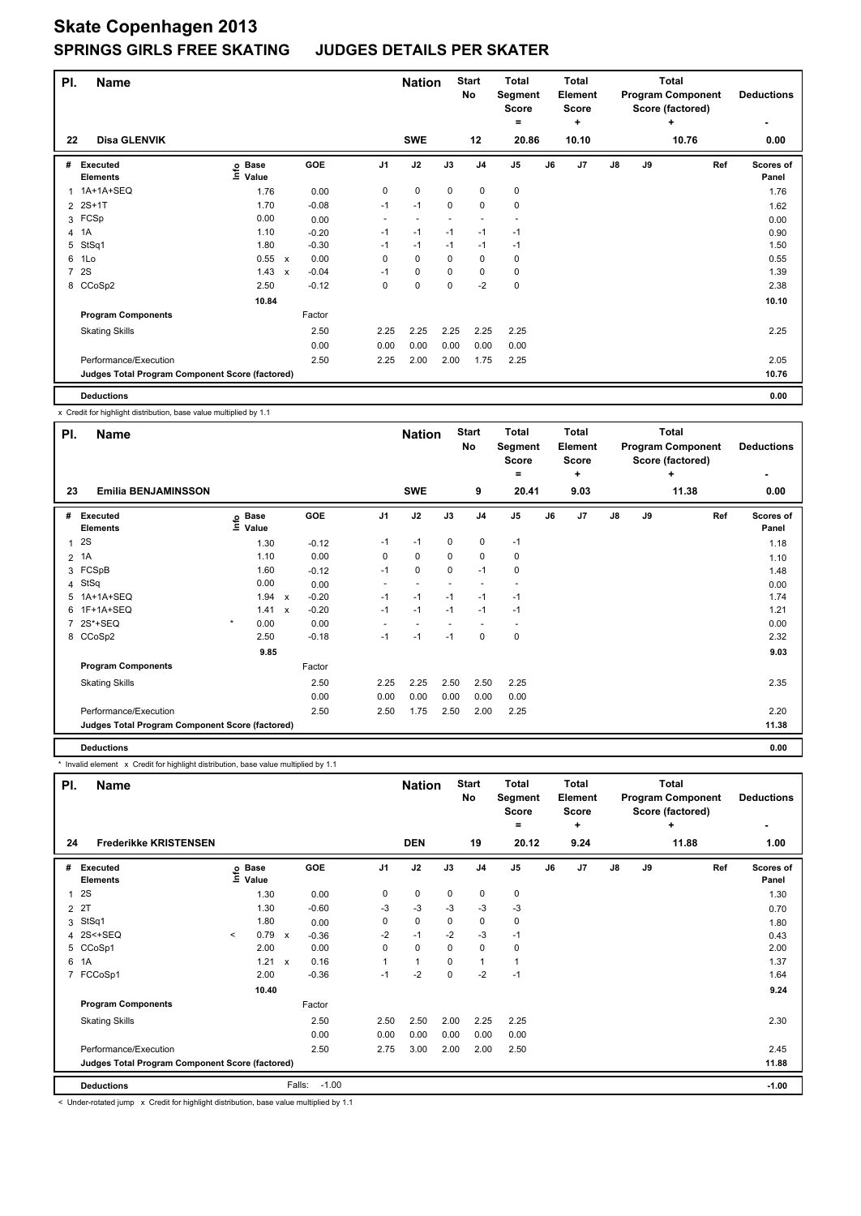| PI.            | <b>Name</b>                                     |                                  |                           |         |                | <b>Nation</b> |             | <b>Start</b><br>No | <b>Total</b><br>Segment<br>Score<br>= |    | <b>Total</b><br>Element<br><b>Score</b><br>٠ |               |    | <b>Total</b><br><b>Program Component</b><br>Score (factored)<br>٠ | <b>Deductions</b>         |
|----------------|-------------------------------------------------|----------------------------------|---------------------------|---------|----------------|---------------|-------------|--------------------|---------------------------------------|----|----------------------------------------------|---------------|----|-------------------------------------------------------------------|---------------------------|
| 22             | <b>Disa GLENVIK</b>                             |                                  |                           |         |                | <b>SWE</b>    |             | 12                 | 20.86                                 |    | 10.10                                        |               |    | 10.76                                                             | 0.00                      |
| #              | Executed<br><b>Elements</b>                     | <b>Base</b><br>$ln f$ o<br>Value |                           | GOE     | J <sub>1</sub> | J2            | J3          | J <sub>4</sub>     | J <sub>5</sub>                        | J6 | J <sub>7</sub>                               | $\mathsf{J}8$ | J9 | Ref                                                               | <b>Scores of</b><br>Panel |
| 1              | 1A+1A+SEQ                                       | 1.76                             |                           | 0.00    | 0              | $\mathbf 0$   | $\mathbf 0$ | $\mathbf 0$        | $\pmb{0}$                             |    |                                              |               |    |                                                                   | 1.76                      |
| $\overline{2}$ | $2S+1T$                                         | 1.70                             |                           | $-0.08$ | $-1$           | $-1$          | $\mathbf 0$ | $\mathbf 0$        | 0                                     |    |                                              |               |    |                                                                   | 1.62                      |
| 3              | FCSp                                            | 0.00                             |                           | 0.00    | ٠              |               |             |                    |                                       |    |                                              |               |    |                                                                   | 0.00                      |
| 4              | 1A                                              | 1.10                             |                           | $-0.20$ | $-1$           | $-1$          | $-1$        | $-1$               | $-1$                                  |    |                                              |               |    |                                                                   | 0.90                      |
| 5              | StSq1                                           | 1.80                             |                           | $-0.30$ | $-1$           | $-1$          | $-1$        | $-1$               | $-1$                                  |    |                                              |               |    |                                                                   | 1.50                      |
| 6              | 1Lo                                             | 0.55                             | $\boldsymbol{\mathsf{x}}$ | 0.00    | 0              | $\mathbf 0$   | 0           | $\mathbf 0$        | 0                                     |    |                                              |               |    |                                                                   | 0.55                      |
| $\overline{7}$ | 2S                                              | 1.43                             | $\boldsymbol{\mathsf{x}}$ | $-0.04$ | $-1$           | $\mathbf 0$   | $\mathbf 0$ | $\mathbf 0$        | $\mathbf 0$                           |    |                                              |               |    |                                                                   | 1.39                      |
|                | 8 CCoSp2                                        | 2.50                             |                           | $-0.12$ | 0              | 0             | 0           | $-2$               | 0                                     |    |                                              |               |    |                                                                   | 2.38                      |
|                |                                                 | 10.84                            |                           |         |                |               |             |                    |                                       |    |                                              |               |    |                                                                   | 10.10                     |
|                | <b>Program Components</b>                       |                                  |                           | Factor  |                |               |             |                    |                                       |    |                                              |               |    |                                                                   |                           |
|                | <b>Skating Skills</b>                           |                                  |                           | 2.50    | 2.25           | 2.25          | 2.25        | 2.25               | 2.25                                  |    |                                              |               |    |                                                                   | 2.25                      |
|                |                                                 |                                  |                           | 0.00    | 0.00           | 0.00          | 0.00        | 0.00               | 0.00                                  |    |                                              |               |    |                                                                   |                           |
|                | Performance/Execution                           |                                  |                           | 2.50    | 2.25           | 2.00          | 2.00        | 1.75               | 2.25                                  |    |                                              |               |    |                                                                   | 2.05                      |
|                | Judges Total Program Component Score (factored) |                                  |                           |         |                |               |             |                    |                                       |    |                                              |               |    |                                                                   | 10.76                     |
|                | <b>Deductions</b>                               |                                  |                           |         |                |               |             |                    |                                       |    |                                              |               |    |                                                                   | 0.00                      |

x Credit for highlight distribution, base value multiplied by 1.1

| PI. | <b>Name</b>                                     |                            |                                      |                | <b>Nation</b> |      | <b>Start</b><br>No | <b>Total</b><br>Segment<br><b>Score</b><br>$\equiv$ |    | <b>Total</b><br>Element<br><b>Score</b><br>÷ |               |    | Total<br><b>Program Component</b><br>Score (factored)<br>÷ | <b>Deductions</b>  |
|-----|-------------------------------------------------|----------------------------|--------------------------------------|----------------|---------------|------|--------------------|-----------------------------------------------------|----|----------------------------------------------|---------------|----|------------------------------------------------------------|--------------------|
| 23  | <b>Emilia BENJAMINSSON</b>                      |                            |                                      |                | <b>SWE</b>    |      | 9                  | 20.41                                               |    | 9.03                                         |               |    | 11.38                                                      | 0.00               |
|     | # Executed<br><b>Elements</b>                   | e Base<br>E Value<br>Value | GOE                                  | J <sub>1</sub> | J2            | J3   | J <sub>4</sub>     | J <sub>5</sub>                                      | J6 | J7                                           | $\mathsf{J}8$ | J9 | Ref                                                        | Scores of<br>Panel |
|     | 12S                                             | 1.30                       | $-0.12$                              | $-1$           | $-1$          | 0    | $\pmb{0}$          | $-1$                                                |    |                                              |               |    |                                                            | 1.18               |
|     | 2 1A                                            | 1.10                       | 0.00                                 | 0              | $\mathbf 0$   | 0    | 0                  | 0                                                   |    |                                              |               |    |                                                            | 1.10               |
|     | 3 FCSpB                                         | 1.60                       | $-0.12$                              | $-1$           | 0             | 0    | $-1$               | 0                                                   |    |                                              |               |    |                                                            | 1.48               |
|     | 4 StSq                                          | 0.00                       | 0.00                                 |                |               |      |                    |                                                     |    |                                              |               |    |                                                            | 0.00               |
| 5   | 1A+1A+SEQ                                       | 1.94                       | $-0.20$<br>$\mathbf{x}$              | $-1$           | $-1$          | $-1$ | $-1$               | $-1$                                                |    |                                              |               |    |                                                            | 1.74               |
|     | 6 1F+1A+SEQ                                     | 1.41                       | $-0.20$<br>$\boldsymbol{\mathsf{x}}$ | $-1$           | $-1$          | $-1$ | $-1$               | $-1$                                                |    |                                              |               |    |                                                            | 1.21               |
|     | 7 2S*+SEQ                                       | $\star$<br>0.00            | 0.00                                 |                |               |      |                    |                                                     |    |                                              |               |    |                                                            | 0.00               |
|     | 8 CCoSp2                                        | 2.50                       | $-0.18$                              | $-1$           | $-1$          | $-1$ | $\mathbf 0$        | 0                                                   |    |                                              |               |    |                                                            | 2.32               |
|     |                                                 | 9.85                       |                                      |                |               |      |                    |                                                     |    |                                              |               |    |                                                            | 9.03               |
|     | <b>Program Components</b>                       |                            | Factor                               |                |               |      |                    |                                                     |    |                                              |               |    |                                                            |                    |
|     | <b>Skating Skills</b>                           |                            | 2.50                                 | 2.25           | 2.25          | 2.50 | 2.50               | 2.25                                                |    |                                              |               |    |                                                            | 2.35               |
|     |                                                 |                            | 0.00                                 | 0.00           | 0.00          | 0.00 | 0.00               | 0.00                                                |    |                                              |               |    |                                                            |                    |
|     | Performance/Execution                           |                            | 2.50                                 | 2.50           | 1.75          | 2.50 | 2.00               | 2.25                                                |    |                                              |               |    |                                                            | 2.20               |
|     | Judges Total Program Component Score (factored) |                            |                                      |                |               |      |                    |                                                     |    |                                              |               |    |                                                            | 11.38              |
|     | <b>Deductions</b>                               |                            |                                      |                |               |      |                    |                                                     |    |                                              |               |    |                                                            | 0.00               |

\* Invalid element x Credit for highlight distribution, base value multiplied by 1.1

| PI.            | <b>Name</b>                                     |         |                      |              |                   |                | <b>Nation</b>  |             | <b>Start</b><br>No | <b>Total</b><br>Segment<br><b>Score</b><br>= |    | <b>Total</b><br>Element<br><b>Score</b><br>٠ |               |    | <b>Total</b><br><b>Program Component</b><br>Score (factored)<br>÷ | <b>Deductions</b>  |
|----------------|-------------------------------------------------|---------|----------------------|--------------|-------------------|----------------|----------------|-------------|--------------------|----------------------------------------------|----|----------------------------------------------|---------------|----|-------------------------------------------------------------------|--------------------|
| 24             | <b>Frederikke KRISTENSEN</b>                    |         |                      |              |                   |                | <b>DEN</b>     |             | 19                 | 20.12                                        |    | 9.24                                         |               |    | 11.88                                                             | 1.00               |
| #              | Executed<br><b>Elements</b>                     | ۴ů      | <b>Base</b><br>Value |              | <b>GOE</b>        | J <sub>1</sub> | J2             | J3          | J <sub>4</sub>     | J <sub>5</sub>                               | J6 | J7                                           | $\mathsf{J}8$ | J9 | Ref                                                               | Scores of<br>Panel |
| 1              | 2S                                              |         | 1.30                 |              | 0.00              | 0              | 0              | 0           | 0                  | 0                                            |    |                                              |               |    |                                                                   | 1.30               |
| 2              | 2T                                              |         | 1.30                 |              | $-0.60$           | $-3$           | $-3$           | $-3$        | $-3$               | $-3$                                         |    |                                              |               |    |                                                                   | 0.70               |
| 3              | StSq1                                           |         | 1.80                 |              | 0.00              | 0              | $\mathbf 0$    | 0           | 0                  | 0                                            |    |                                              |               |    |                                                                   | 1.80               |
| 4              | 2S<+SEQ                                         | $\prec$ | 0.79                 | $\mathsf{x}$ | $-0.36$           | $-2$           | $-1$           | $-2$        | $-3$               | $-1$                                         |    |                                              |               |    |                                                                   | 0.43               |
|                | 5 CCoSp1                                        |         | 2.00                 |              | 0.00              | 0              | $\mathbf 0$    | $\mathbf 0$ | $\mathbf 0$        | 0                                            |    |                                              |               |    |                                                                   | 2.00               |
| 6              | 1A                                              |         | 1.21                 | $\mathsf{x}$ | 0.16              | 1              | $\overline{1}$ | 0           | $\overline{1}$     |                                              |    |                                              |               |    |                                                                   | 1.37               |
| $\overline{7}$ | FCCoSp1                                         |         | 2.00                 |              | $-0.36$           | $-1$           | $-2$           | 0           | $-2$               | $-1$                                         |    |                                              |               |    |                                                                   | 1.64               |
|                |                                                 |         | 10.40                |              |                   |                |                |             |                    |                                              |    |                                              |               |    |                                                                   | 9.24               |
|                | <b>Program Components</b>                       |         |                      |              | Factor            |                |                |             |                    |                                              |    |                                              |               |    |                                                                   |                    |
|                | <b>Skating Skills</b>                           |         |                      |              | 2.50              | 2.50           | 2.50           | 2.00        | 2.25               | 2.25                                         |    |                                              |               |    |                                                                   | 2.30               |
|                |                                                 |         |                      |              | 0.00              | 0.00           | 0.00           | 0.00        | 0.00               | 0.00                                         |    |                                              |               |    |                                                                   |                    |
|                | Performance/Execution                           |         |                      |              | 2.50              | 2.75           | 3.00           | 2.00        | 2.00               | 2.50                                         |    |                                              |               |    |                                                                   | 2.45               |
|                | Judges Total Program Component Score (factored) |         |                      |              |                   |                |                |             |                    |                                              |    |                                              |               |    |                                                                   | 11.88              |
|                | <b>Deductions</b>                               |         |                      |              | $-1.00$<br>Falls: |                |                |             |                    |                                              |    |                                              |               |    |                                                                   | $-1.00$            |

< Under-rotated jump x Credit for highlight distribution, base value multiplied by 1.1